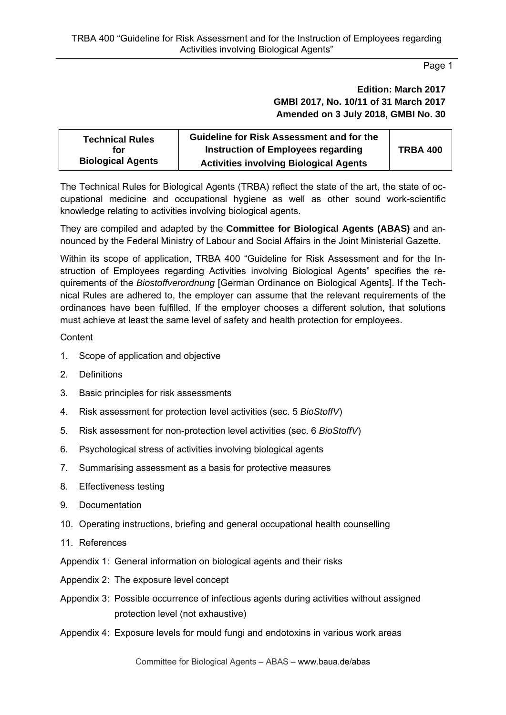## **Edition: March 2017 GMBl 2017, No. 10/11 of 31 March 2017 Amended on 3 July 2018, GMBI No. 30**

| <b>Technical Rules</b>   | <b>Guideline for Risk Assessment and for the</b> |                 |
|--------------------------|--------------------------------------------------|-----------------|
| for                      | Instruction of Employees regarding               | <b>TRBA 400</b> |
| <b>Biological Agents</b> | <b>Activities involving Biological Agents</b>    |                 |

The Technical Rules for Biological Agents (TRBA) reflect the state of the art, the state of occupational medicine and occupational hygiene as well as other sound work-scientific knowledge relating to activities involving biological agents.

They are compiled and adapted by the **Committee for Biological Agents (ABAS)** and announced by the Federal Ministry of Labour and Social Affairs in the Joint Ministerial Gazette.

Within its scope of application, TRBA 400 "Guideline for Risk Assessment and for the Instruction of Employees regarding Activities involving Biological Agents" specifies the requirements of the *Biostoffverordnung* [German Ordinance on Biological Agents]. If the Technical Rules are adhered to, the employer can assume that the relevant requirements of the ordinances have been fulfilled. If the employer chooses a different solution, that solutions must achieve at least the same level of safety and health protection for employees.

### **Content**

- 1. Scope of application and objective
- 2. Definitions
- 3. Basic principles for risk assessments
- 4. Risk assessment for protection level activities (sec. 5 *BioStoffV*)
- 5. Risk assessment for non-protection level activities (sec. 6 *BioStoffV*)
- 6. Psychological stress of activities involving biological agents
- 7. Summarising assessment as a basis for protective measures
- 8. Effectiveness testing
- 9. Documentation
- 10. Operating instructions, briefing and general occupational health counselling
- 11. References
- Appendix 1: General information on biological agents and their risks
- Appendix 2: The exposure level concept
- Appendix 3: Possible occurrence of infectious agents during activities without assigned protection level (not exhaustive)
- Appendix 4: Exposure levels for mould fungi and endotoxins in various work areas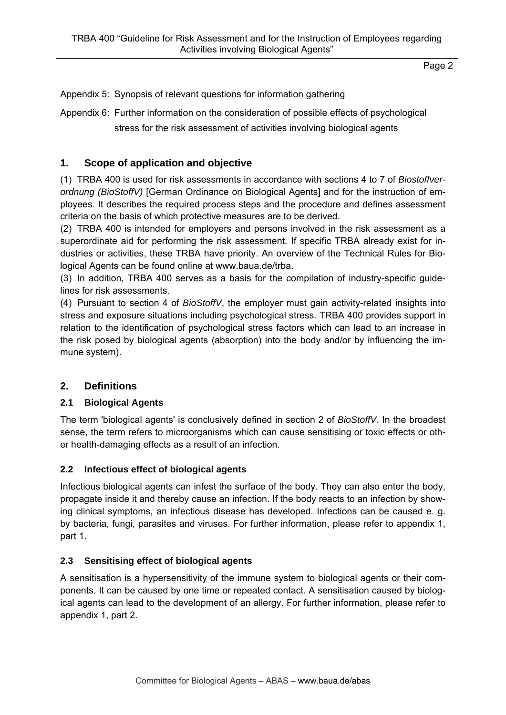Appendix 5: Synopsis of relevant questions for information gathering

Appendix 6: Further information on the consideration of possible effects of psychological stress for the risk assessment of activities involving biological agents

# **1. Scope of application and objective**

(1) TRBA 400 is used for risk assessments in accordance with sections 4 to 7 of *Biostoffverordnung (BioStoffV)* [German Ordinance on Biological Agents] and for the instruction of employees. It describes the required process steps and the procedure and defines assessment criteria on the basis of which protective measures are to be derived.

(2) TRBA 400 is intended for employers and persons involved in the risk assessment as a superordinate aid for performing the risk assessment. If specific TRBA already exist for industries or activities, these TRBA have priority. An overview of the Technical Rules for Biological Agents can be found online at www.baua.de/trba.

(3) In addition, TRBA 400 serves as a basis for the compilation of industry-specific guidelines for risk assessments.

(4) Pursuant to section 4 of *BioStoffV*, the employer must gain activity-related insights into stress and exposure situations including psychological stress. TRBA 400 provides support in relation to the identification of psychological stress factors which can lead to an increase in the risk posed by biological agents (absorption) into the body and/or by influencing the immune system).

### **2. Definitions**

### **2.1 Biological Agents**

The term 'biological agents' is conclusively defined in section 2 of *BioStoffV*. In the broadest sense, the term refers to microorganisms which can cause sensitising or toxic effects or other health-damaging effects as a result of an infection.

### **2.2 Infectious effect of biological agents**

Infectious biological agents can infest the surface of the body. They can also enter the body, propagate inside it and thereby cause an infection. If the body reacts to an infection by showing clinical symptoms, an infectious disease has developed. Infections can be caused e. g. by bacteria, fungi, parasites and viruses. For further information, please refer to appendix 1, part 1.

### **2.3 Sensitising effect of biological agents**

A sensitisation is a hypersensitivity of the immune system to biological agents or their components. It can be caused by one time or repeated contact. A sensitisation caused by biological agents can lead to the development of an allergy. For further information, please refer to appendix 1, part 2.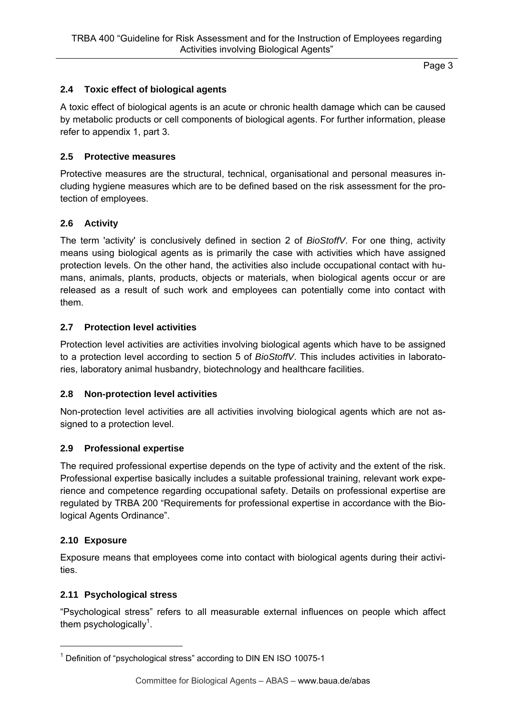## **2.4 Toxic effect of biological agents**

A toxic effect of biological agents is an acute or chronic health damage which can be caused by metabolic products or cell components of biological agents. For further information, please refer to appendix 1, part 3.

#### **2.5 Protective measures**

Protective measures are the structural, technical, organisational and personal measures including hygiene measures which are to be defined based on the risk assessment for the protection of employees.

#### **2.6 Activity**

The term 'activity' is conclusively defined in section 2 of *BioStoffV*. For one thing, activity means using biological agents as is primarily the case with activities which have assigned protection levels. On the other hand, the activities also include occupational contact with humans, animals, plants, products, objects or materials, when biological agents occur or are released as a result of such work and employees can potentially come into contact with them.

#### **2.7 Protection level activities**

Protection level activities are activities involving biological agents which have to be assigned to a protection level according to section 5 of *BioStoffV*. This includes activities in laboratories, laboratory animal husbandry, biotechnology and healthcare facilities.

### **2.8 Non-protection level activities**

Non-protection level activities are all activities involving biological agents which are not assigned to a protection level.

#### **2.9 Professional expertise**

The required professional expertise depends on the type of activity and the extent of the risk. Professional expertise basically includes a suitable professional training, relevant work experience and competence regarding occupational safety. Details on professional expertise are regulated by TRBA 200 "Requirements for professional expertise in accordance with the Biological Agents Ordinance".

#### **2.10 Exposure**

1

Exposure means that employees come into contact with biological agents during their activities.

#### **2.11 Psychological stress**

"Psychological stress" refers to all measurable external influences on people which affect them psychologically<sup>1</sup>.

<sup>&</sup>lt;sup>1</sup> Definition of "psychological stress" according to DIN EN ISO 10075-1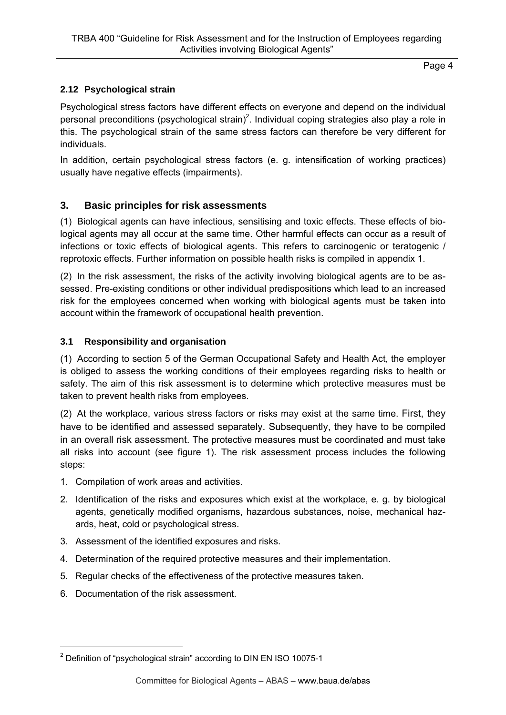# **2.12 Psychological strain**

Psychological stress factors have different effects on everyone and depend on the individual personal preconditions (psychological strain)<sup>2</sup>. Individual coping strategies also play a role in this. The psychological strain of the same stress factors can therefore be very different for individuals.

In addition, certain psychological stress factors (e. g. intensification of working practices) usually have negative effects (impairments).

# **3. Basic principles for risk assessments**

(1) Biological agents can have infectious, sensitising and toxic effects. These effects of biological agents may all occur at the same time. Other harmful effects can occur as a result of infections or toxic effects of biological agents. This refers to carcinogenic or teratogenic / reprotoxic effects. Further information on possible health risks is compiled in appendix 1.

(2) In the risk assessment, the risks of the activity involving biological agents are to be assessed. Pre-existing conditions or other individual predispositions which lead to an increased risk for the employees concerned when working with biological agents must be taken into account within the framework of occupational health prevention.

## **3.1 Responsibility and organisation**

(1) According to section 5 of the German Occupational Safety and Health Act, the employer is obliged to assess the working conditions of their employees regarding risks to health or safety. The aim of this risk assessment is to determine which protective measures must be taken to prevent health risks from employees.

(2) At the workplace, various stress factors or risks may exist at the same time. First, they have to be identified and assessed separately. Subsequently, they have to be compiled in an overall risk assessment. The protective measures must be coordinated and must take all risks into account (see figure 1). The risk assessment process includes the following steps:

- 1. Compilation of work areas and activities.
- 2. Identification of the risks and exposures which exist at the workplace, e. g. by biological agents, genetically modified organisms, hazardous substances, noise, mechanical hazards, heat, cold or psychological stress.
- 3. Assessment of the identified exposures and risks.
- 4. Determination of the required protective measures and their implementation.
- 5. Regular checks of the effectiveness of the protective measures taken.
- 6. Documentation of the risk assessment.

1

 $2$  Definition of "psychological strain" according to DIN EN ISO 10075-1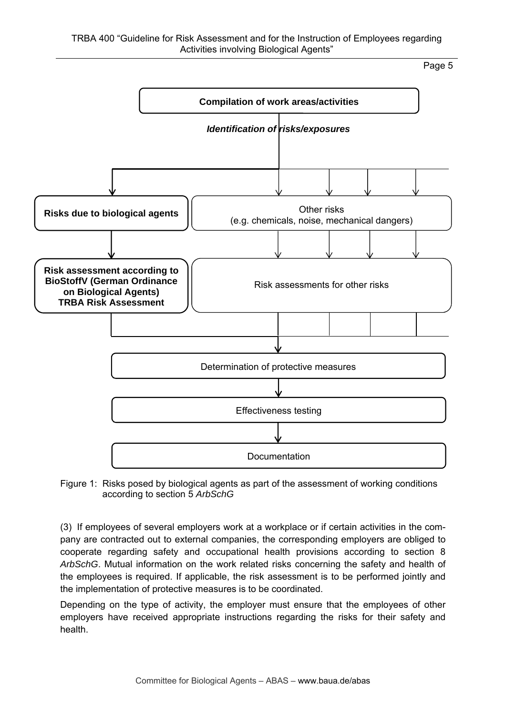

Figure 1: Risks posed by biological agents as part of the assessment of working conditions according to section 5 *ArbSchG*

(3) If employees of several employers work at a workplace or if certain activities in the company are contracted out to external companies, the corresponding employers are obliged to cooperate regarding safety and occupational health provisions according to section 8 *ArbSchG*. Mutual information on the work related risks concerning the safety and health of the employees is required. If applicable, the risk assessment is to be performed jointly and the implementation of protective measures is to be coordinated.

Depending on the type of activity, the employer must ensure that the employees of other employers have received appropriate instructions regarding the risks for their safety and health.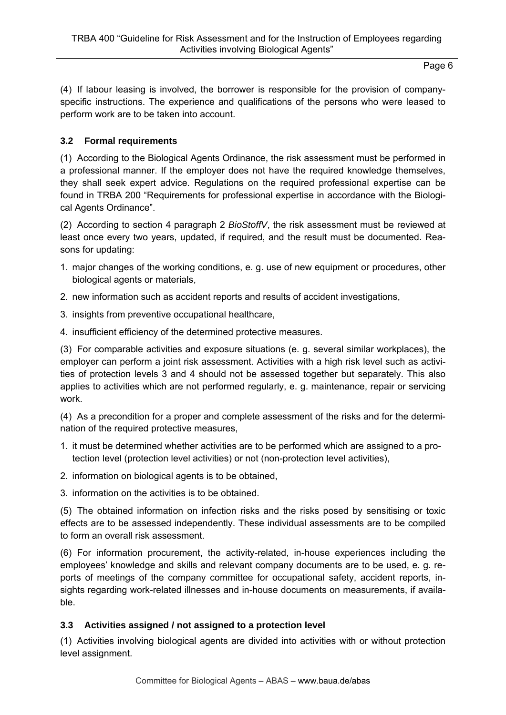(4) If labour leasing is involved, the borrower is responsible for the provision of companyspecific instructions. The experience and qualifications of the persons who were leased to perform work are to be taken into account.

# **3.2 Formal requirements**

(1) According to the Biological Agents Ordinance, the risk assessment must be performed in a professional manner. If the employer does not have the required knowledge themselves, they shall seek expert advice. Regulations on the required professional expertise can be found in TRBA 200 "Requirements for professional expertise in accordance with the Biological Agents Ordinance".

(2) According to section 4 paragraph 2 *BioStoffV*, the risk assessment must be reviewed at least once every two years, updated, if required, and the result must be documented. Reasons for updating:

- 1. major changes of the working conditions, e. g. use of new equipment or procedures, other biological agents or materials,
- 2. new information such as accident reports and results of accident investigations,
- 3. insights from preventive occupational healthcare,
- 4. insufficient efficiency of the determined protective measures.

(3) For comparable activities and exposure situations (e. g. several similar workplaces), the employer can perform a joint risk assessment. Activities with a high risk level such as activities of protection levels 3 and 4 should not be assessed together but separately. This also applies to activities which are not performed regularly, e. g. maintenance, repair or servicing work.

(4) As a precondition for a proper and complete assessment of the risks and for the determination of the required protective measures,

- 1. it must be determined whether activities are to be performed which are assigned to a protection level (protection level activities) or not (non-protection level activities),
- 2. information on biological agents is to be obtained,
- 3. information on the activities is to be obtained.

(5) The obtained information on infection risks and the risks posed by sensitising or toxic effects are to be assessed independently. These individual assessments are to be compiled to form an overall risk assessment.

(6) For information procurement, the activity-related, in-house experiences including the employees' knowledge and skills and relevant company documents are to be used, e. g. reports of meetings of the company committee for occupational safety, accident reports, insights regarding work-related illnesses and in-house documents on measurements, if available.

# **3.3 Activities assigned / not assigned to a protection level**

(1) Activities involving biological agents are divided into activities with or without protection level assignment.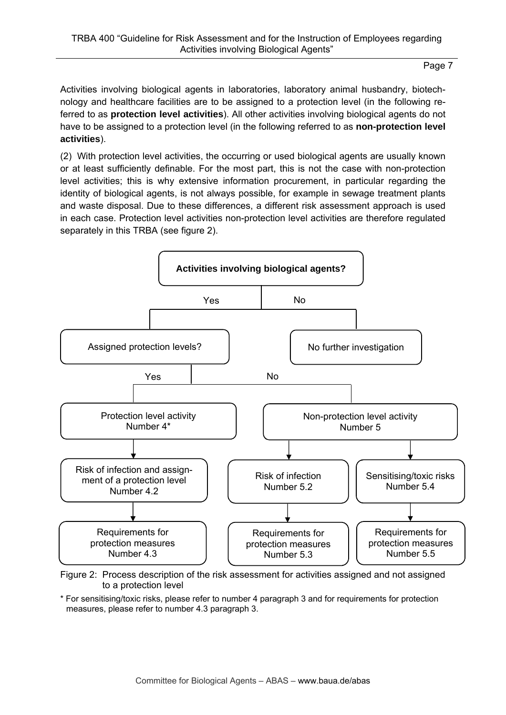Activities involving biological agents in laboratories, laboratory animal husbandry, biotechnology and healthcare facilities are to be assigned to a protection level (in the following referred to as **protection level activities**). All other activities involving biological agents do not have to be assigned to a protection level (in the following referred to as **non-protection level activities**).

(2) With protection level activities, the occurring or used biological agents are usually known or at least sufficiently definable. For the most part, this is not the case with non-protection level activities; this is why extensive information procurement, in particular regarding the identity of biological agents, is not always possible, for example in sewage treatment plants and waste disposal. Due to these differences, a different risk assessment approach is used in each case. Protection level activities non-protection level activities are therefore regulated separately in this TRBA (see figure 2).



Figure 2: Process description of the risk assessment for activities assigned and not assigned to a protection level

\* For sensitising/toxic risks, please refer to number 4 paragraph 3 and for requirements for protection measures, please refer to number 4.3 paragraph 3.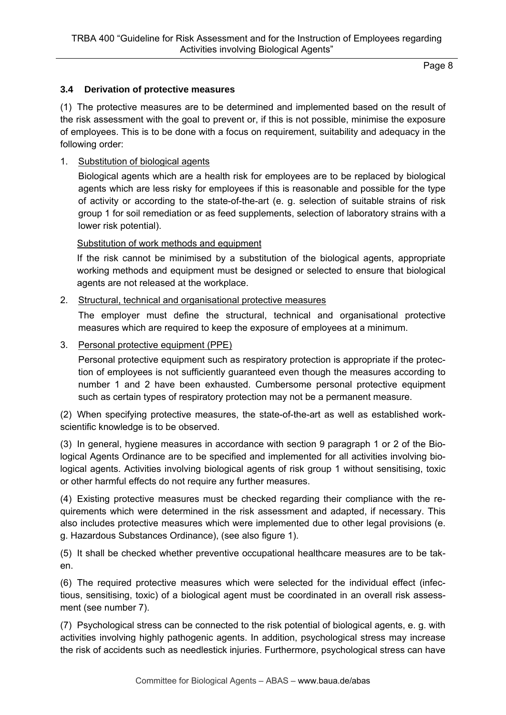#### **3.4 Derivation of protective measures**

(1) The protective measures are to be determined and implemented based on the result of the risk assessment with the goal to prevent or, if this is not possible, minimise the exposure of employees. This is to be done with a focus on requirement, suitability and adequacy in the following order:

#### 1. Substitution of biological agents

Biological agents which are a health risk for employees are to be replaced by biological agents which are less risky for employees if this is reasonable and possible for the type of activity or according to the state-of-the-art (e. g. selection of suitable strains of risk group 1 for soil remediation or as feed supplements, selection of laboratory strains with a lower risk potential).

#### Substitution of work methods and equipment

If the risk cannot be minimised by a substitution of the biological agents, appropriate working methods and equipment must be designed or selected to ensure that biological agents are not released at the workplace.

#### 2. Structural, technical and organisational protective measures

The employer must define the structural, technical and organisational protective measures which are required to keep the exposure of employees at a minimum.

#### 3. Personal protective equipment (PPE)

Personal protective equipment such as respiratory protection is appropriate if the protection of employees is not sufficiently guaranteed even though the measures according to number 1 and 2 have been exhausted. Cumbersome personal protective equipment such as certain types of respiratory protection may not be a permanent measure.

(2) When specifying protective measures, the state-of-the-art as well as established workscientific knowledge is to be observed.

(3) In general, hygiene measures in accordance with section 9 paragraph 1 or 2 of the Biological Agents Ordinance are to be specified and implemented for all activities involving biological agents. Activities involving biological agents of risk group 1 without sensitising, toxic or other harmful effects do not require any further measures.

(4) Existing protective measures must be checked regarding their compliance with the requirements which were determined in the risk assessment and adapted, if necessary. This also includes protective measures which were implemented due to other legal provisions (e. g. Hazardous Substances Ordinance), (see also figure 1).

(5) It shall be checked whether preventive occupational healthcare measures are to be taken.

(6) The required protective measures which were selected for the individual effect (infectious, sensitising, toxic) of a biological agent must be coordinated in an overall risk assessment (see number 7).

(7) Psychological stress can be connected to the risk potential of biological agents, e. g. with activities involving highly pathogenic agents. In addition, psychological stress may increase the risk of accidents such as needlestick injuries. Furthermore, psychological stress can have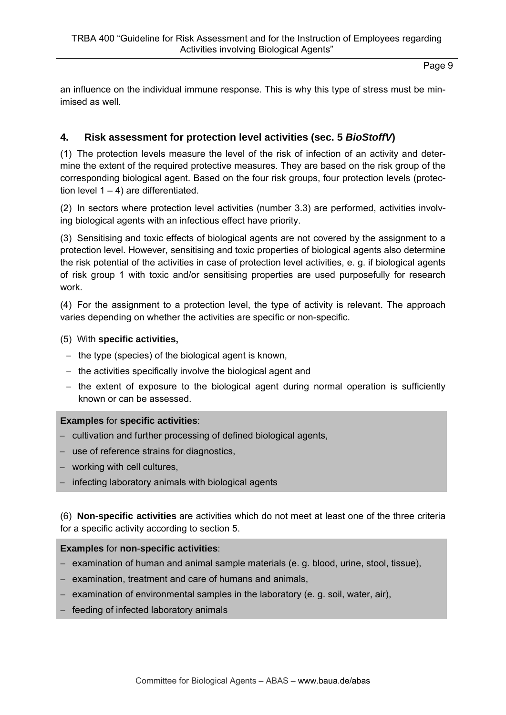an influence on the individual immune response. This is why this type of stress must be minimised as well.

# **4. Risk assessment for protection level activities (sec. 5** *BioStoffV***)**

(1) The protection levels measure the level of the risk of infection of an activity and determine the extent of the required protective measures. They are based on the risk group of the corresponding biological agent. Based on the four risk groups, four protection levels (protection level  $1 - 4$ ) are differentiated.

(2) In sectors where protection level activities (number 3.3) are performed, activities involving biological agents with an infectious effect have priority.

(3) Sensitising and toxic effects of biological agents are not covered by the assignment to a protection level. However, sensitising and toxic properties of biological agents also determine the risk potential of the activities in case of protection level activities, e. g. if biological agents of risk group 1 with toxic and/or sensitising properties are used purposefully for research work.

(4) For the assignment to a protection level, the type of activity is relevant. The approach varies depending on whether the activities are specific or non-specific.

### (5) With **specific activities,**

- $-$  the type (species) of the biological agent is known,
- $-$  the activities specifically involve the biological agent and
- $-$  the extent of exposure to the biological agent during normal operation is sufficiently known or can be assessed.

### **Examples** for **specific activities**:

- cultivation and further processing of defined biological agents,
- use of reference strains for diagnostics,
- working with cell cultures.
- $-$  infecting laboratory animals with biological agents

(6) **Non-specific activities** are activities which do not meet at least one of the three criteria for a specific activity according to section 5.

#### **Examples** for **non**-**specific activities**:

- $-$  examination of human and animal sample materials (e. g. blood, urine, stool, tissue),
- $-$  examination, treatment and care of humans and animals,
- $-$  examination of environmental samples in the laboratory (e. g. soil, water, air),
- $-$  feeding of infected laboratory animals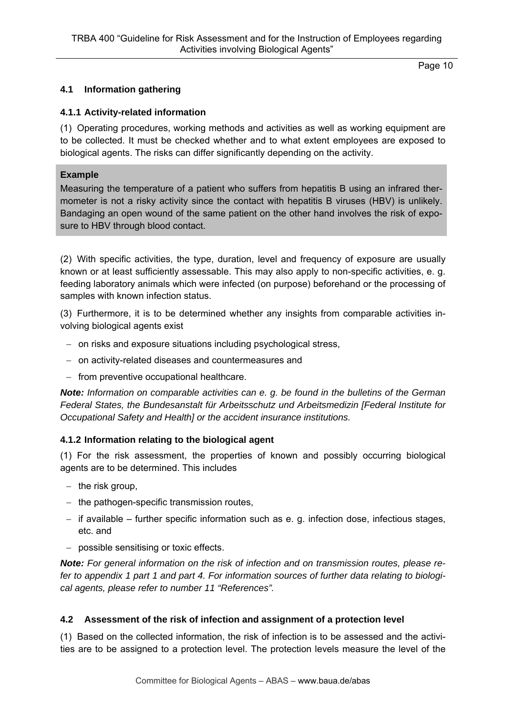## **4.1 Information gathering**

### **4.1.1 Activity-related information**

(1) Operating procedures, working methods and activities as well as working equipment are to be collected. It must be checked whether and to what extent employees are exposed to biological agents. The risks can differ significantly depending on the activity.

### **Example**

Measuring the temperature of a patient who suffers from hepatitis B using an infrared thermometer is not a risky activity since the contact with hepatitis B viruses (HBV) is unlikely. Bandaging an open wound of the same patient on the other hand involves the risk of exposure to HBV through blood contact.

(2) With specific activities, the type, duration, level and frequency of exposure are usually known or at least sufficiently assessable. This may also apply to non-specific activities, e. g. feeding laboratory animals which were infected (on purpose) beforehand or the processing of samples with known infection status.

(3) Furthermore, it is to be determined whether any insights from comparable activities involving biological agents exist

- on risks and exposure situations including psychological stress,
- on activity-related diseases and countermeasures and
- $-$  from preventive occupational healthcare.

*Note: Information on comparable activities can e. g. be found in the bulletins of the German Federal States, the Bundesanstalt für Arbeitsschutz und Arbeitsmedizin [Federal Institute for Occupational Safety and Health] or the accident insurance institutions.* 

### **4.1.2 Information relating to the biological agent**

(1) For the risk assessment, the properties of known and possibly occurring biological agents are to be determined. This includes

- $-$  the risk group,
- $-$  the pathogen-specific transmission routes,
- $-$  if available further specific information such as e. g. infection dose, infectious stages, etc. and
- possible sensitising or toxic effects.

*Note: For general information on the risk of infection and on transmission routes, please refer to appendix 1 part 1 and part 4. For information sources of further data relating to biological agents, please refer to number 11 "References".* 

### **4.2 Assessment of the risk of infection and assignment of a protection level**

(1) Based on the collected information, the risk of infection is to be assessed and the activities are to be assigned to a protection level. The protection levels measure the level of the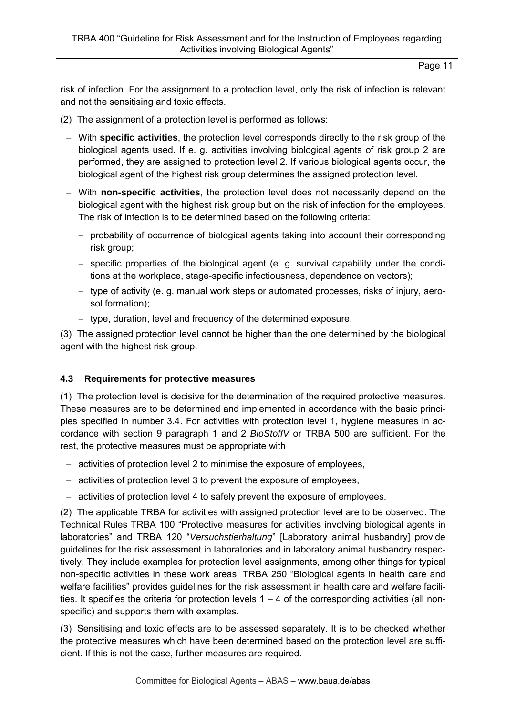risk of infection. For the assignment to a protection level, only the risk of infection is relevant and not the sensitising and toxic effects.

- (2) The assignment of a protection level is performed as follows:
	- With **specific activities**, the protection level corresponds directly to the risk group of the biological agents used. If e. g. activities involving biological agents of risk group 2 are performed, they are assigned to protection level 2. If various biological agents occur, the biological agent of the highest risk group determines the assigned protection level.
	- With **non-specific activities**, the protection level does not necessarily depend on the biological agent with the highest risk group but on the risk of infection for the employees. The risk of infection is to be determined based on the following criteria:
		- probability of occurrence of biological agents taking into account their corresponding risk group;
		- specific properties of the biological agent (e. g. survival capability under the conditions at the workplace, stage-specific infectiousness, dependence on vectors);
		- $-$  type of activity (e. g. manual work steps or automated processes, risks of injury, aerosol formation);
		- type, duration, level and frequency of the determined exposure.

(3) The assigned protection level cannot be higher than the one determined by the biological agent with the highest risk group.

# **4.3 Requirements for protective measures**

(1) The protection level is decisive for the determination of the required protective measures. These measures are to be determined and implemented in accordance with the basic principles specified in number 3.4. For activities with protection level 1, hygiene measures in accordance with section 9 paragraph 1 and 2 *BioStoffV* or TRBA 500 are sufficient. For the rest, the protective measures must be appropriate with

- activities of protection level 2 to minimise the exposure of employees,
- activities of protection level 3 to prevent the exposure of employees,
- activities of protection level 4 to safely prevent the exposure of employees.

(2) The applicable TRBA for activities with assigned protection level are to be observed. The Technical Rules TRBA 100 "Protective measures for activities involving biological agents in laboratories" and TRBA 120 "*Versuchstierhaltung*" [Laboratory animal husbandry] provide guidelines for the risk assessment in laboratories and in laboratory animal husbandry respectively. They include examples for protection level assignments, among other things for typical non-specific activities in these work areas. TRBA 250 "Biological agents in health care and welfare facilities" provides guidelines for the risk assessment in health care and welfare facilities. It specifies the criteria for protection levels  $1 - 4$  of the corresponding activities (all nonspecific) and supports them with examples.

(3) Sensitising and toxic effects are to be assessed separately. It is to be checked whether the protective measures which have been determined based on the protection level are sufficient. If this is not the case, further measures are required.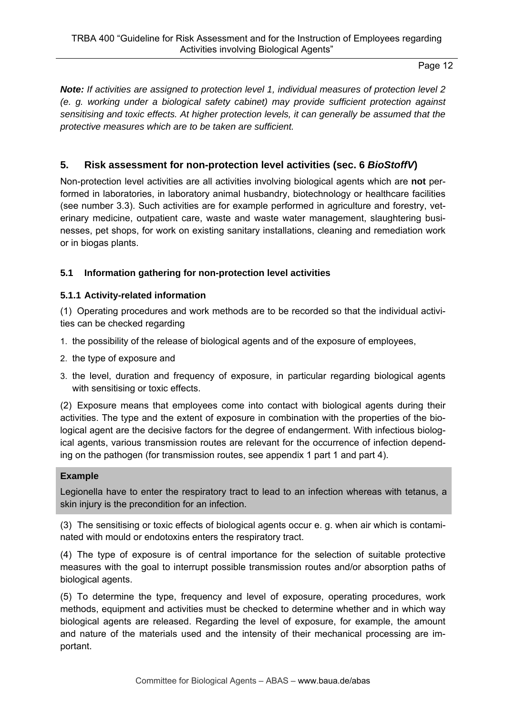*Note: If activities are assigned to protection level 1, individual measures of protection level 2 (e. g. working under a biological safety cabinet) may provide sufficient protection against sensitising and toxic effects. At higher protection levels, it can generally be assumed that the protective measures which are to be taken are sufficient.* 

# **5. Risk assessment for non-protection level activities (sec. 6** *BioStoffV***)**

Non-protection level activities are all activities involving biological agents which are **not** performed in laboratories, in laboratory animal husbandry, biotechnology or healthcare facilities (see number 3.3). Such activities are for example performed in agriculture and forestry, veterinary medicine, outpatient care, waste and waste water management, slaughtering businesses, pet shops, for work on existing sanitary installations, cleaning and remediation work or in biogas plants.

# **5.1 Information gathering for non-protection level activities**

# **5.1.1 Activity-related information**

(1) Operating procedures and work methods are to be recorded so that the individual activities can be checked regarding

- 1. the possibility of the release of biological agents and of the exposure of employees,
- 2. the type of exposure and
- 3. the level, duration and frequency of exposure, in particular regarding biological agents with sensitising or toxic effects.

(2) Exposure means that employees come into contact with biological agents during their activities. The type and the extent of exposure in combination with the properties of the biological agent are the decisive factors for the degree of endangerment. With infectious biological agents, various transmission routes are relevant for the occurrence of infection depending on the pathogen (for transmission routes, see appendix 1 part 1 and part 4).

### **Example**

Legionella have to enter the respiratory tract to lead to an infection whereas with tetanus, a skin injury is the precondition for an infection.

(3) The sensitising or toxic effects of biological agents occur e. g. when air which is contaminated with mould or endotoxins enters the respiratory tract.

(4) The type of exposure is of central importance for the selection of suitable protective measures with the goal to interrupt possible transmission routes and/or absorption paths of biological agents.

(5) To determine the type, frequency and level of exposure, operating procedures, work methods, equipment and activities must be checked to determine whether and in which way biological agents are released. Regarding the level of exposure, for example, the amount and nature of the materials used and the intensity of their mechanical processing are important.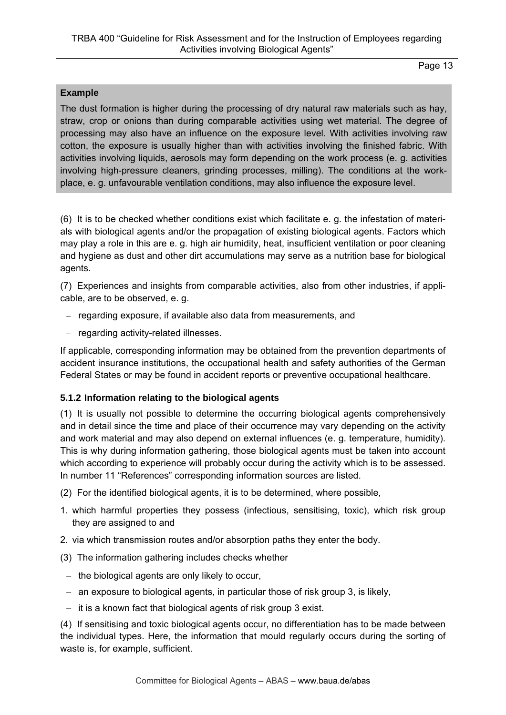#### **Example**

The dust formation is higher during the processing of dry natural raw materials such as hay, straw, crop or onions than during comparable activities using wet material. The degree of processing may also have an influence on the exposure level. With activities involving raw cotton, the exposure is usually higher than with activities involving the finished fabric. With activities involving liquids, aerosols may form depending on the work process (e. g. activities involving high-pressure cleaners, grinding processes, milling). The conditions at the workplace, e. g. unfavourable ventilation conditions, may also influence the exposure level.

(6) It is to be checked whether conditions exist which facilitate e. g. the infestation of materials with biological agents and/or the propagation of existing biological agents. Factors which may play a role in this are e. g. high air humidity, heat, insufficient ventilation or poor cleaning and hygiene as dust and other dirt accumulations may serve as a nutrition base for biological agents.

(7) Experiences and insights from comparable activities, also from other industries, if applicable, are to be observed, e. g.

- regarding exposure, if available also data from measurements, and
- regarding activity-related illnesses.

If applicable, corresponding information may be obtained from the prevention departments of accident insurance institutions, the occupational health and safety authorities of the German Federal States or may be found in accident reports or preventive occupational healthcare.

### **5.1.2 Information relating to the biological agents**

(1) It is usually not possible to determine the occurring biological agents comprehensively and in detail since the time and place of their occurrence may vary depending on the activity and work material and may also depend on external influences (e. g. temperature, humidity). This is why during information gathering, those biological agents must be taken into account which according to experience will probably occur during the activity which is to be assessed. In number 11 "References" corresponding information sources are listed.

- (2) For the identified biological agents, it is to be determined, where possible,
- 1. which harmful properties they possess (infectious, sensitising, toxic), which risk group they are assigned to and
- 2. via which transmission routes and/or absorption paths they enter the body.
- (3) The information gathering includes checks whether
- $-$  the biological agents are only likely to occur,
- an exposure to biological agents, in particular those of risk group 3, is likely,
- $-$  it is a known fact that biological agents of risk group 3 exist.

(4) If sensitising and toxic biological agents occur, no differentiation has to be made between the individual types. Here, the information that mould regularly occurs during the sorting of waste is, for example, sufficient.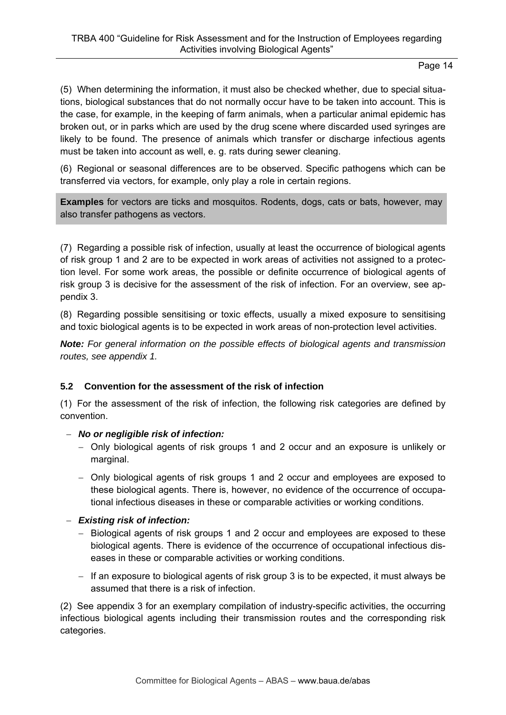(5) When determining the information, it must also be checked whether, due to special situations, biological substances that do not normally occur have to be taken into account. This is the case, for example, in the keeping of farm animals, when a particular animal epidemic has broken out, or in parks which are used by the drug scene where discarded used syringes are likely to be found. The presence of animals which transfer or discharge infectious agents must be taken into account as well, e. g. rats during sewer cleaning.

(6) Regional or seasonal differences are to be observed. Specific pathogens which can be transferred via vectors, for example, only play a role in certain regions.

**Examples** for vectors are ticks and mosquitos. Rodents, dogs, cats or bats, however, may also transfer pathogens as vectors.

(7) Regarding a possible risk of infection, usually at least the occurrence of biological agents of risk group 1 and 2 are to be expected in work areas of activities not assigned to a protection level. For some work areas, the possible or definite occurrence of biological agents of risk group 3 is decisive for the assessment of the risk of infection. For an overview, see appendix 3.

(8) Regarding possible sensitising or toxic effects, usually a mixed exposure to sensitising and toxic biological agents is to be expected in work areas of non-protection level activities.

*Note: For general information on the possible effects of biological agents and transmission routes, see appendix 1.* 

# **5.2 Convention for the assessment of the risk of infection**

(1) For the assessment of the risk of infection, the following risk categories are defined by convention.

### *No or negligible risk of infection:*

- Only biological agents of risk groups 1 and 2 occur and an exposure is unlikely or marginal.
- Only biological agents of risk groups 1 and 2 occur and employees are exposed to these biological agents. There is, however, no evidence of the occurrence of occupational infectious diseases in these or comparable activities or working conditions.

# *Existing risk of infection:*

- Biological agents of risk groups 1 and 2 occur and employees are exposed to these biological agents. There is evidence of the occurrence of occupational infectious diseases in these or comparable activities or working conditions.
- If an exposure to biological agents of risk group 3 is to be expected, it must always be assumed that there is a risk of infection.

(2) See appendix 3 for an exemplary compilation of industry-specific activities, the occurring infectious biological agents including their transmission routes and the corresponding risk categories.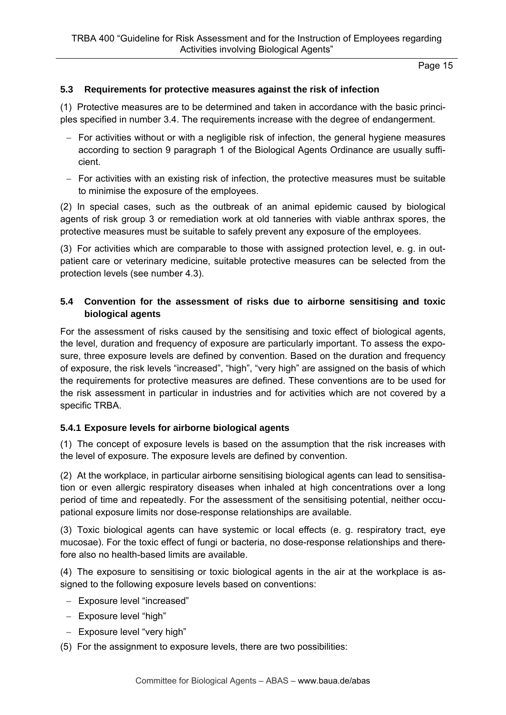#### **5.3 Requirements for protective measures against the risk of infection**

(1) Protective measures are to be determined and taken in accordance with the basic principles specified in number 3.4. The requirements increase with the degree of endangerment.

- $-$  For activities without or with a negligible risk of infection, the general hygiene measures according to section 9 paragraph 1 of the Biological Agents Ordinance are usually sufficient.
- $-$  For activities with an existing risk of infection, the protective measures must be suitable to minimise the exposure of the employees.

(2) In special cases, such as the outbreak of an animal epidemic caused by biological agents of risk group 3 or remediation work at old tanneries with viable anthrax spores, the protective measures must be suitable to safely prevent any exposure of the employees.

(3) For activities which are comparable to those with assigned protection level, e. g. in outpatient care or veterinary medicine, suitable protective measures can be selected from the protection levels (see number 4.3).

### **5.4 Convention for the assessment of risks due to airborne sensitising and toxic biological agents**

For the assessment of risks caused by the sensitising and toxic effect of biological agents, the level, duration and frequency of exposure are particularly important. To assess the exposure, three exposure levels are defined by convention. Based on the duration and frequency of exposure, the risk levels "increased", "high", "very high" are assigned on the basis of which the requirements for protective measures are defined. These conventions are to be used for the risk assessment in particular in industries and for activities which are not covered by a specific TRBA.

### **5.4.1 Exposure levels for airborne biological agents**

(1) The concept of exposure levels is based on the assumption that the risk increases with the level of exposure. The exposure levels are defined by convention.

(2) At the workplace, in particular airborne sensitising biological agents can lead to sensitisation or even allergic respiratory diseases when inhaled at high concentrations over a long period of time and repeatedly. For the assessment of the sensitising potential, neither occupational exposure limits nor dose-response relationships are available.

(3) Toxic biological agents can have systemic or local effects (e. g. respiratory tract, eye mucosae). For the toxic effect of fungi or bacteria, no dose-response relationships and therefore also no health-based limits are available.

(4) The exposure to sensitising or toxic biological agents in the air at the workplace is assigned to the following exposure levels based on conventions:

- Exposure level "increased"
- Exposure level "high"
- Exposure level "very high"
- (5) For the assignment to exposure levels, there are two possibilities: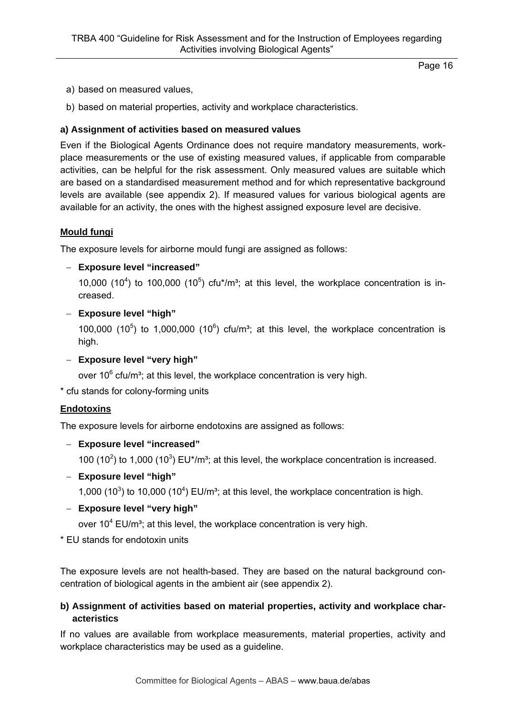- a) based on measured values,
- b) based on material properties, activity and workplace characteristics.

#### **a) Assignment of activities based on measured values**

Even if the Biological Agents Ordinance does not require mandatory measurements, workplace measurements or the use of existing measured values, if applicable from comparable activities, can be helpful for the risk assessment. Only measured values are suitable which are based on a standardised measurement method and for which representative background levels are available (see appendix 2). If measured values for various biological agents are available for an activity, the ones with the highest assigned exposure level are decisive.

#### **Mould fungi**

The exposure levels for airborne mould fungi are assigned as follows:

#### **Exposure level "increased"**

10,000 (10<sup>4</sup>) to 100,000 (10<sup>5</sup>) cfu<sup>\*</sup>/m<sup>3</sup>; at this level, the workplace concentration is increased.

#### **Exposure level "high"**

100,000 (10<sup>5</sup>) to 1,000,000 (10<sup>6</sup>) cfu/m<sup>3</sup>; at this level, the workplace concentration is high.

**Exposure level "very high"** 

over 10 $^6$  cfu/m<sup>3</sup>; at this level, the workplace concentration is very high.

\* cfu stands for colony-forming units

### **Endotoxins**

The exposure levels for airborne endotoxins are assigned as follows:

**Exposure level "increased"**

100  $(10^2)$  to 1,000  $(10^3)$  EU\*/m<sup>3</sup>; at this level, the workplace concentration is increased.

**Exposure level "high"**

1,000  $(10^3)$  to 10,000  $(10^4)$  EU/m<sup>3</sup>; at this level, the workplace concentration is high.

**Exposure level "very high"**

over  $10^4$  EU/m<sup>3</sup>; at this level, the workplace concentration is very high.

\* EU stands for endotoxin units

The exposure levels are not health-based. They are based on the natural background concentration of biological agents in the ambient air (see appendix 2).

### **b) Assignment of activities based on material properties, activity and workplace characteristics**

If no values are available from workplace measurements, material properties, activity and workplace characteristics may be used as a guideline.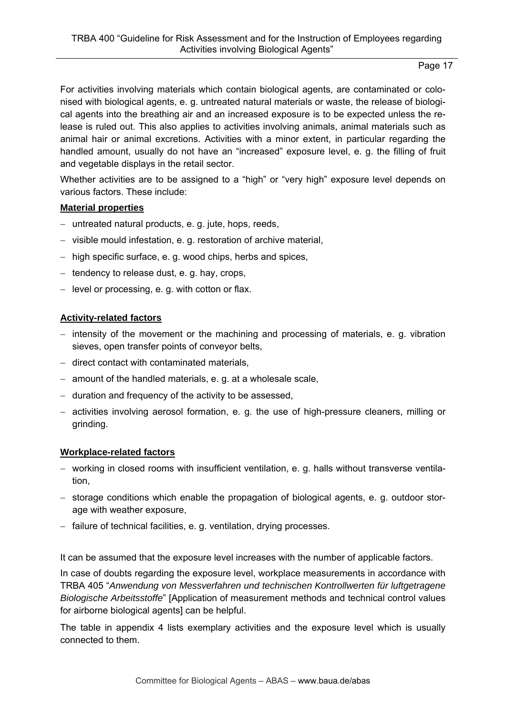For activities involving materials which contain biological agents, are contaminated or colonised with biological agents, e. g. untreated natural materials or waste, the release of biological agents into the breathing air and an increased exposure is to be expected unless the release is ruled out. This also applies to activities involving animals, animal materials such as animal hair or animal excretions. Activities with a minor extent, in particular regarding the handled amount, usually do not have an "increased" exposure level, e. g. the filling of fruit and vegetable displays in the retail sector.

Whether activities are to be assigned to a "high" or "very high" exposure level depends on various factors. These include:

#### **Material properties**

- untreated natural products, e. g. jute, hops, reeds,
- visible mould infestation, e. g. restoration of archive material,
- high specific surface, e. g. wood chips, herbs and spices,
- $-$  tendency to release dust, e. g. hay, crops,
- $-$  level or processing, e. g. with cotton or flax.

### **Activity-related factors**

- intensity of the movement or the machining and processing of materials, e. g. vibration sieves, open transfer points of conveyor belts,
- $-$  direct contact with contaminated materials,
- $-$  amount of the handled materials, e. q. at a wholesale scale,
- $-$  duration and frequency of the activity to be assessed,
- activities involving aerosol formation, e. g. the use of high-pressure cleaners, milling or grinding.

### **Workplace-related factors**

- working in closed rooms with insufficient ventilation, e. g. halls without transverse ventilation,
- storage conditions which enable the propagation of biological agents, e. g. outdoor storage with weather exposure,
- failure of technical facilities, e. g. ventilation, drying processes.

It can be assumed that the exposure level increases with the number of applicable factors.

In case of doubts regarding the exposure level, workplace measurements in accordance with TRBA 405 "*Anwendung von Messverfahren und technischen Kontrollwerten für luftgetragene Biologische Arbeitsstoffe*" [Application of measurement methods and technical control values for airborne biological agents] can be helpful.

The table in appendix 4 lists exemplary activities and the exposure level which is usually connected to them.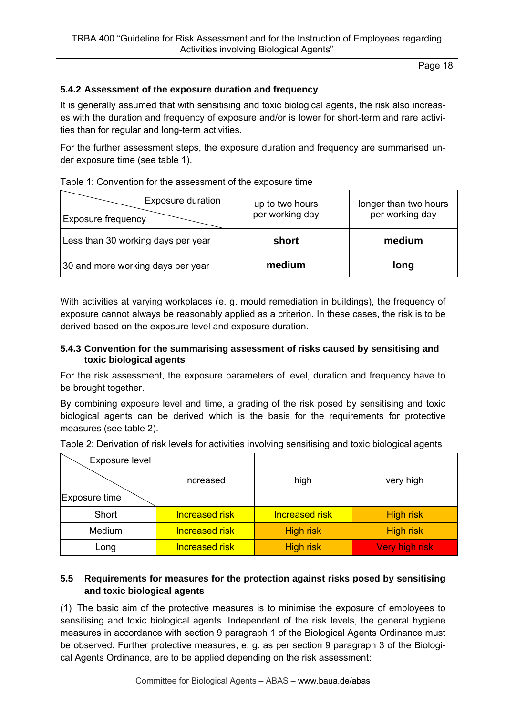#### **5.4.2 Assessment of the exposure duration and frequency**

It is generally assumed that with sensitising and toxic biological agents, the risk also increases with the duration and frequency of exposure and/or is lower for short-term and rare activities than for regular and long-term activities.

For the further assessment steps, the exposure duration and frequency are summarised under exposure time (see table 1).

|  |  |  | Table 1: Convention for the assessment of the exposure time |
|--|--|--|-------------------------------------------------------------|
|  |  |  |                                                             |

| Exposure duration<br><b>Exposure frequency</b> | up to two hours<br>per working day | longer than two hours<br>per working day |
|------------------------------------------------|------------------------------------|------------------------------------------|
| Less than 30 working days per year             | short                              | medium                                   |
| 30 and more working days per year              | medium                             | long                                     |

With activities at varying workplaces (e. g. mould remediation in buildings), the frequency of exposure cannot always be reasonably applied as a criterion. In these cases, the risk is to be derived based on the exposure level and exposure duration.

#### **5.4.3 Convention for the summarising assessment of risks caused by sensitising and toxic biological agents**

For the risk assessment, the exposure parameters of level, duration and frequency have to be brought together.

By combining exposure level and time, a grading of the risk posed by sensitising and toxic biological agents can be derived which is the basis for the requirements for protective measures (see table 2).

| Exposure level<br>Exposure time | increased             | high                  | very high        |  |
|---------------------------------|-----------------------|-----------------------|------------------|--|
| Short                           | <b>Increased risk</b> | <b>Increased risk</b> | <b>High risk</b> |  |
| Medium                          | <b>Increased risk</b> | <b>High risk</b>      | <b>High risk</b> |  |
| Long                            | <b>Increased risk</b> | <b>High risk</b>      | Very high risk   |  |

Table 2: Derivation of risk levels for activities involving sensitising and toxic biological agents

### **5.5 Requirements for measures for the protection against risks posed by sensitising and toxic biological agents**

(1) The basic aim of the protective measures is to minimise the exposure of employees to sensitising and toxic biological agents. Independent of the risk levels, the general hygiene measures in accordance with section 9 paragraph 1 of the Biological Agents Ordinance must be observed. Further protective measures, e. g. as per section 9 paragraph 3 of the Biological Agents Ordinance, are to be applied depending on the risk assessment: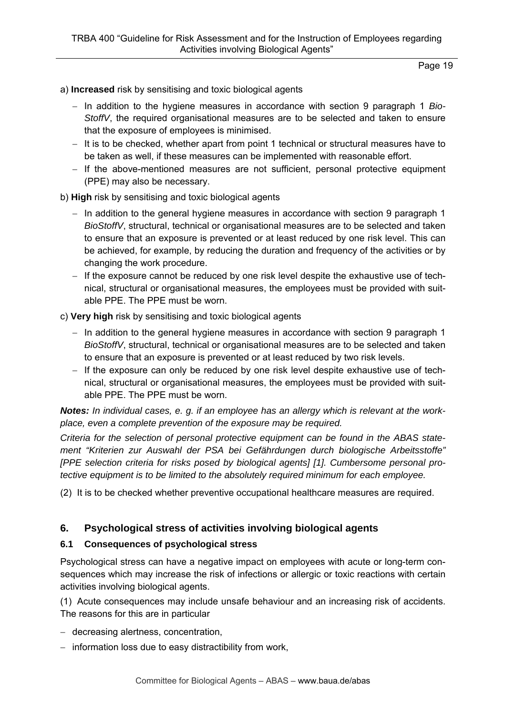#### a) **Increased** risk by sensitising and toxic biological agents

- In addition to the hygiene measures in accordance with section 9 paragraph 1 *Bio-StoffV*, the required organisational measures are to be selected and taken to ensure that the exposure of employees is minimised.
- It is to be checked, whether apart from point 1 technical or structural measures have to be taken as well, if these measures can be implemented with reasonable effort.
- If the above-mentioned measures are not sufficient, personal protective equipment (PPE) may also be necessary.
- b) **High** risk by sensitising and toxic biological agents
	- $-$  In addition to the general hygiene measures in accordance with section 9 paragraph 1 *BioStoffV*, structural, technical or organisational measures are to be selected and taken to ensure that an exposure is prevented or at least reduced by one risk level. This can be achieved, for example, by reducing the duration and frequency of the activities or by changing the work procedure.
	- $-$  If the exposure cannot be reduced by one risk level despite the exhaustive use of technical, structural or organisational measures, the employees must be provided with suitable PPE. The PPE must be worn.

#### c) **Very high** risk by sensitising and toxic biological agents

- $-$  In addition to the general hygiene measures in accordance with section 9 paragraph 1 *BioStoffV*, structural, technical or organisational measures are to be selected and taken to ensure that an exposure is prevented or at least reduced by two risk levels.
- $-$  If the exposure can only be reduced by one risk level despite exhaustive use of technical, structural or organisational measures, the employees must be provided with suitable PPE. The PPE must be worn.

*Notes: In individual cases, e. g. if an employee has an allergy which is relevant at the workplace, even a complete prevention of the exposure may be required.* 

*Criteria for the selection of personal protective equipment can be found in the ABAS statement "Kriterien zur Auswahl der PSA bei Gefährdungen durch biologische Arbeitsstoffe" [PPE selection criteria for risks posed by biological agents] [1]. Cumbersome personal protective equipment is to be limited to the absolutely required minimum for each employee.* 

(2) It is to be checked whether preventive occupational healthcare measures are required.

# **6. Psychological stress of activities involving biological agents**

### **6.1 Consequences of psychological stress**

Psychological stress can have a negative impact on employees with acute or long-term consequences which may increase the risk of infections or allergic or toxic reactions with certain activities involving biological agents.

(1) Acute consequences may include unsafe behaviour and an increasing risk of accidents. The reasons for this are in particular

- decreasing alertness, concentration,
- $-$  information loss due to easy distractibility from work,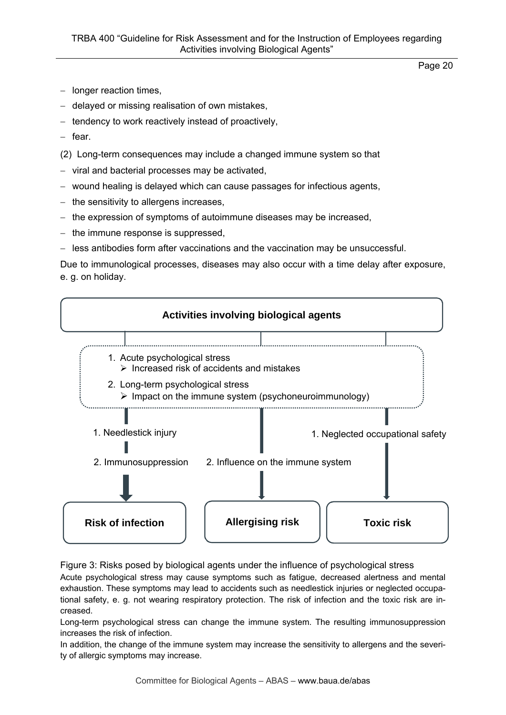- $-$  longer reaction times,
- delayed or missing realisation of own mistakes,
- $-$  tendency to work reactively instead of proactively,
- $-$  fear.
- (2) Long-term consequences may include a changed immune system so that
- viral and bacterial processes may be activated,
- wound healing is delayed which can cause passages for infectious agents,
- $-$  the sensitivity to allergens increases,
- $-$  the expression of symptoms of autoimmune diseases may be increased,
- $-$  the immune response is suppressed,
- less antibodies form after vaccinations and the vaccination may be unsuccessful.

Due to immunological processes, diseases may also occur with a time delay after exposure, e. g. on holiday.



Figure 3: Risks posed by biological agents under the influence of psychological stress

Acute psychological stress may cause symptoms such as fatigue, decreased alertness and mental exhaustion. These symptoms may lead to accidents such as needlestick injuries or neglected occupational safety, e. g. not wearing respiratory protection. The risk of infection and the toxic risk are increased.

Long-term psychological stress can change the immune system. The resulting immunosuppression increases the risk of infection.

In addition, the change of the immune system may increase the sensitivity to allergens and the severity of allergic symptoms may increase.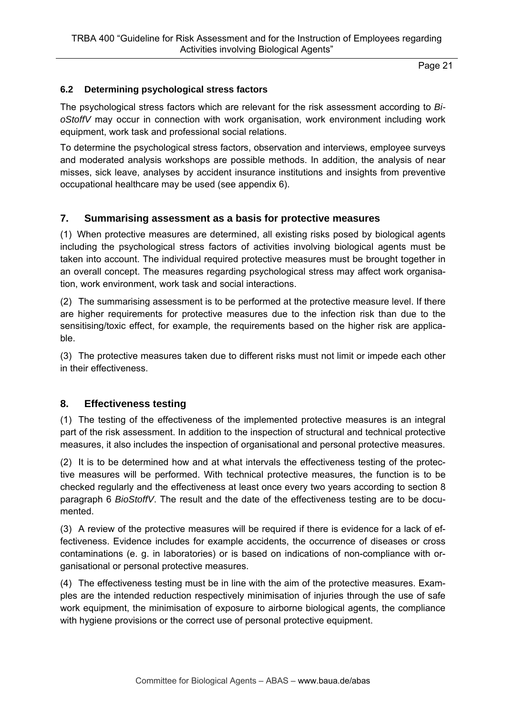## **6.2 Determining psychological stress factors**

The psychological stress factors which are relevant for the risk assessment according to *BioStoffV* may occur in connection with work organisation, work environment including work equipment, work task and professional social relations.

To determine the psychological stress factors, observation and interviews, employee surveys and moderated analysis workshops are possible methods. In addition, the analysis of near misses, sick leave, analyses by accident insurance institutions and insights from preventive occupational healthcare may be used (see appendix 6).

## **7. Summarising assessment as a basis for protective measures**

(1) When protective measures are determined, all existing risks posed by biological agents including the psychological stress factors of activities involving biological agents must be taken into account. The individual required protective measures must be brought together in an overall concept. The measures regarding psychological stress may affect work organisation, work environment, work task and social interactions.

(2) The summarising assessment is to be performed at the protective measure level. If there are higher requirements for protective measures due to the infection risk than due to the sensitising/toxic effect, for example, the requirements based on the higher risk are applicable.

(3) The protective measures taken due to different risks must not limit or impede each other in their effectiveness.

### **8. Effectiveness testing**

(1) The testing of the effectiveness of the implemented protective measures is an integral part of the risk assessment. In addition to the inspection of structural and technical protective measures, it also includes the inspection of organisational and personal protective measures.

(2) It is to be determined how and at what intervals the effectiveness testing of the protective measures will be performed. With technical protective measures, the function is to be checked regularly and the effectiveness at least once every two years according to section 8 paragraph 6 *BioStoffV*. The result and the date of the effectiveness testing are to be documented.

(3) A review of the protective measures will be required if there is evidence for a lack of effectiveness. Evidence includes for example accidents, the occurrence of diseases or cross contaminations (e. g. in laboratories) or is based on indications of non-compliance with organisational or personal protective measures.

(4) The effectiveness testing must be in line with the aim of the protective measures. Examples are the intended reduction respectively minimisation of injuries through the use of safe work equipment, the minimisation of exposure to airborne biological agents, the compliance with hygiene provisions or the correct use of personal protective equipment.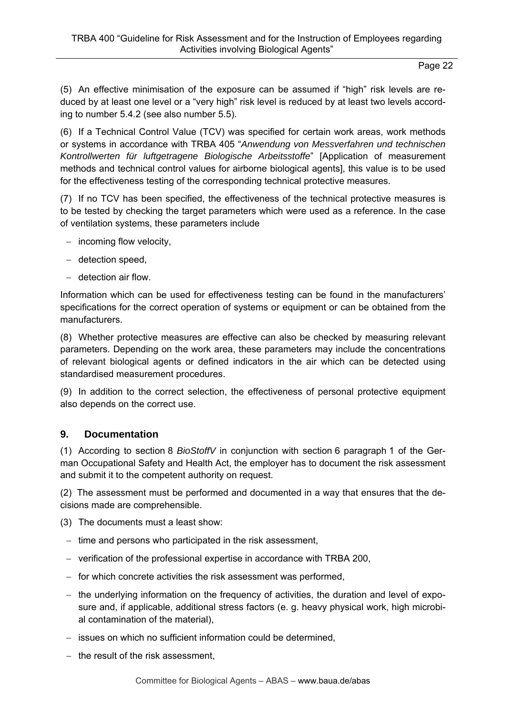(5) An effective minimisation of the exposure can be assumed if "high" risk levels are reduced by at least one level or a "very high" risk level is reduced by at least two levels according to number 5.4.2 (see also number 5.5).

(6) If a Technical Control Value (TCV) was specified for certain work areas, work methods or systems in accordance with TRBA 405 "*Anwendung von Messverfahren und technischen Kontrollwerten für luftgetragene Biologische Arbeitsstoffe*" [Application of measurement methods and technical control values for airborne biological agents], this value is to be used for the effectiveness testing of the corresponding technical protective measures.

(7) If no TCV has been specified, the effectiveness of the technical protective measures is to be tested by checking the target parameters which were used as a reference. In the case of ventilation systems, these parameters include

- $-$  incoming flow velocity,
- $-$  detection speed,
- detection air flow.

Information which can be used for effectiveness testing can be found in the manufacturers' specifications for the correct operation of systems or equipment or can be obtained from the manufacturers.

(8) Whether protective measures are effective can also be checked by measuring relevant parameters. Depending on the work area, these parameters may include the concentrations of relevant biological agents or defined indicators in the air which can be detected using standardised measurement procedures.

(9) In addition to the correct selection, the effectiveness of personal protective equipment also depends on the correct use.

### **9. Documentation**

(1) According to section 8 *BioStoffV* in conjunction with section 6 paragraph 1 of the German Occupational Safety and Health Act, the employer has to document the risk assessment and submit it to the competent authority on request.

(2) The assessment must be performed and documented in a way that ensures that the decisions made are comprehensible.

(3) The documents must a least show:

- $-$  time and persons who participated in the risk assessment,
- verification of the professional expertise in accordance with TRBA 200,
- $-$  for which concrete activities the risk assessment was performed,
- $-$  the underlying information on the frequency of activities, the duration and level of exposure and, if applicable, additional stress factors (e. g. heavy physical work, high microbial contamination of the material),
- issues on which no sufficient information could be determined,
- $-$  the result of the risk assessment.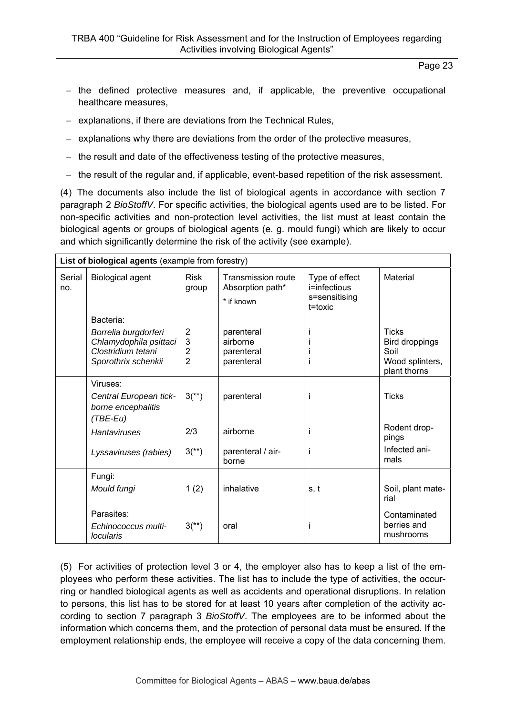- $-$  the defined protective measures and, if applicable, the preventive occupational healthcare measures,
- explanations, if there are deviations from the Technical Rules,
- $-$  explanations why there are deviations from the order of the protective measures,
- $-$  the result and date of the effectiveness testing of the protective measures,
- the result of the regular and, if applicable, event-based repetition of the risk assessment.

(4) The documents also include the list of biological agents in accordance with section 7 paragraph 2 *BioStoffV*. For specific activities, the biological agents used are to be listed. For non-specific activities and non-protection level activities, the list must at least contain the biological agents or groups of biological agents (e. g. mould fungi) which are likely to occur and which significantly determine the risk of the activity (see example).

| List of biological agents (example from forestry) |                                                                                             |                                                         |                                                             |                                                            |                                                                           |  |  |
|---------------------------------------------------|---------------------------------------------------------------------------------------------|---------------------------------------------------------|-------------------------------------------------------------|------------------------------------------------------------|---------------------------------------------------------------------------|--|--|
| Serial<br>no.                                     | <b>Biological agent</b>                                                                     | <b>Risk</b><br>group                                    | <b>Transmission route</b><br>Absorption path*<br>* if known | Type of effect<br>i=infectious<br>s=sensitising<br>t=toxic | Material                                                                  |  |  |
|                                                   | Bacteria:                                                                                   |                                                         |                                                             |                                                            |                                                                           |  |  |
|                                                   | Borrelia burgdorferi<br>Chlamydophila psittaci<br>Clostridium tetani<br>Sporothrix schenkii | $\overline{2}$<br>3<br>$\overline{2}$<br>$\overline{2}$ | parenteral<br>airborne<br>parenteral<br>parenteral          |                                                            | <b>Ticks</b><br>Bird droppings<br>Soil<br>Wood splinters,<br>plant thorns |  |  |
|                                                   | Viruses:<br>Central European tick-<br>borne encephalitis<br>$(TBE-Eu)$                      | $3^{(*)}$                                               | parenteral                                                  | Ť                                                          | <b>Ticks</b>                                                              |  |  |
|                                                   | <b>Hantaviruses</b>                                                                         | 2/3                                                     | airborne                                                    | Ť                                                          | Rodent drop-<br>pings                                                     |  |  |
|                                                   | Lyssaviruses (rabies)                                                                       | $3^{(*)}$                                               | parenteral / air-<br>borne                                  | L                                                          | Infected ani-<br>mals                                                     |  |  |
|                                                   | Fungi:<br>Mould fungi                                                                       | 1(2)                                                    | inhalative                                                  | s, t                                                       | Soil, plant mate-<br>rial                                                 |  |  |
|                                                   | Parasites:<br>Echinococcus multi-<br><i>locularis</i>                                       | $3^{(*)}$                                               | oral                                                        | $\mathsf{I}$                                               | Contaminated<br>berries and<br>mushrooms                                  |  |  |

(5) For activities of protection level 3 or 4, the employer also has to keep a list of the employees who perform these activities. The list has to include the type of activities, the occurring or handled biological agents as well as accidents and operational disruptions. In relation to persons, this list has to be stored for at least 10 years after completion of the activity according to section 7 paragraph 3 *BioStoffV*. The employees are to be informed about the information which concerns them, and the protection of personal data must be ensured. If the employment relationship ends, the employee will receive a copy of the data concerning them.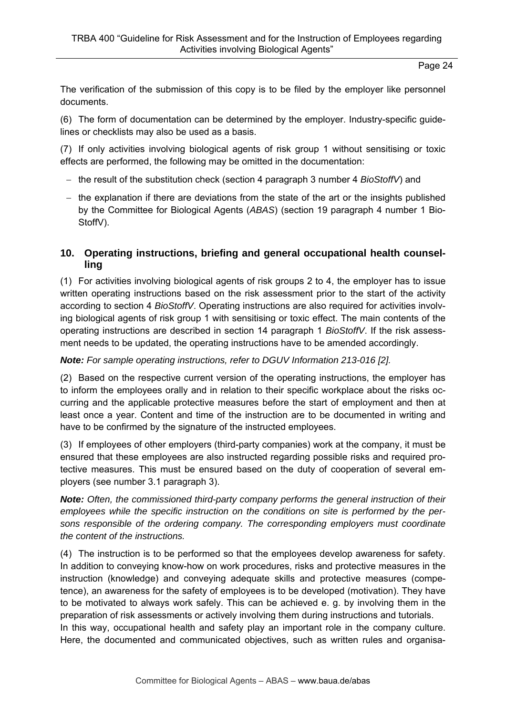The verification of the submission of this copy is to be filed by the employer like personnel documents.

(6) The form of documentation can be determined by the employer. Industry-specific guidelines or checklists may also be used as a basis.

(7) If only activities involving biological agents of risk group 1 without sensitising or toxic effects are performed, the following may be omitted in the documentation:

- the result of the substitution check (section 4 paragraph 3 number 4 *BioStoffV*) and
- $-$  the explanation if there are deviations from the state of the art or the insights published by the Committee for Biological Agents (*ABAS*) (section 19 paragraph 4 number 1 Bio-StoffV).

# **10. Operating instructions, briefing and general occupational health counselling**

(1) For activities involving biological agents of risk groups 2 to 4, the employer has to issue written operating instructions based on the risk assessment prior to the start of the activity according to section 4 *BioStoffV*. Operating instructions are also required for activities involving biological agents of risk group 1 with sensitising or toxic effect. The main contents of the operating instructions are described in section 14 paragraph 1 *BioStoffV*. If the risk assessment needs to be updated, the operating instructions have to be amended accordingly.

### *Note: For sample operating instructions, refer to DGUV Information 213-016 [2].*

(2) Based on the respective current version of the operating instructions, the employer has to inform the employees orally and in relation to their specific workplace about the risks occurring and the applicable protective measures before the start of employment and then at least once a year. Content and time of the instruction are to be documented in writing and have to be confirmed by the signature of the instructed employees.

(3) If employees of other employers (third-party companies) work at the company, it must be ensured that these employees are also instructed regarding possible risks and required protective measures. This must be ensured based on the duty of cooperation of several employers (see number 3.1 paragraph 3).

*Note: Often, the commissioned third-party company performs the general instruction of their employees while the specific instruction on the conditions on site is performed by the persons responsible of the ordering company. The corresponding employers must coordinate the content of the instructions.* 

(4) The instruction is to be performed so that the employees develop awareness for safety. In addition to conveying know-how on work procedures, risks and protective measures in the instruction (knowledge) and conveying adequate skills and protective measures (competence), an awareness for the safety of employees is to be developed (motivation). They have to be motivated to always work safely. This can be achieved e. g. by involving them in the preparation of risk assessments or actively involving them during instructions and tutorials. In this way, occupational health and safety play an important role in the company culture. Here, the documented and communicated objectives, such as written rules and organisa-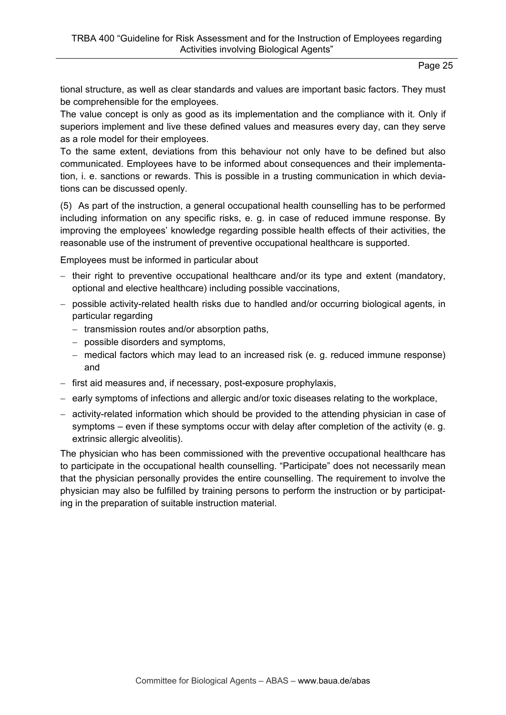tional structure, as well as clear standards and values are important basic factors. They must be comprehensible for the employees.

The value concept is only as good as its implementation and the compliance with it. Only if superiors implement and live these defined values and measures every day, can they serve as a role model for their employees.

To the same extent, deviations from this behaviour not only have to be defined but also communicated. Employees have to be informed about consequences and their implementation, i. e. sanctions or rewards. This is possible in a trusting communication in which deviations can be discussed openly.

(5) As part of the instruction, a general occupational health counselling has to be performed including information on any specific risks, e. g. in case of reduced immune response. By improving the employees' knowledge regarding possible health effects of their activities, the reasonable use of the instrument of preventive occupational healthcare is supported.

Employees must be informed in particular about

- $-$  their right to preventive occupational healthcare and/or its type and extent (mandatory, optional and elective healthcare) including possible vaccinations,
- possible activity-related health risks due to handled and/or occurring biological agents, in particular regarding
	- transmission routes and/or absorption paths,
	- possible disorders and symptoms,
	- medical factors which may lead to an increased risk (e. g. reduced immune response) and
- first aid measures and, if necessary, post-exposure prophylaxis,
- early symptoms of infections and allergic and/or toxic diseases relating to the workplace,
- activity-related information which should be provided to the attending physician in case of symptoms – even if these symptoms occur with delay after completion of the activity (e. g. extrinsic allergic alveolitis).

The physician who has been commissioned with the preventive occupational healthcare has to participate in the occupational health counselling. "Participate" does not necessarily mean that the physician personally provides the entire counselling. The requirement to involve the physician may also be fulfilled by training persons to perform the instruction or by participating in the preparation of suitable instruction material.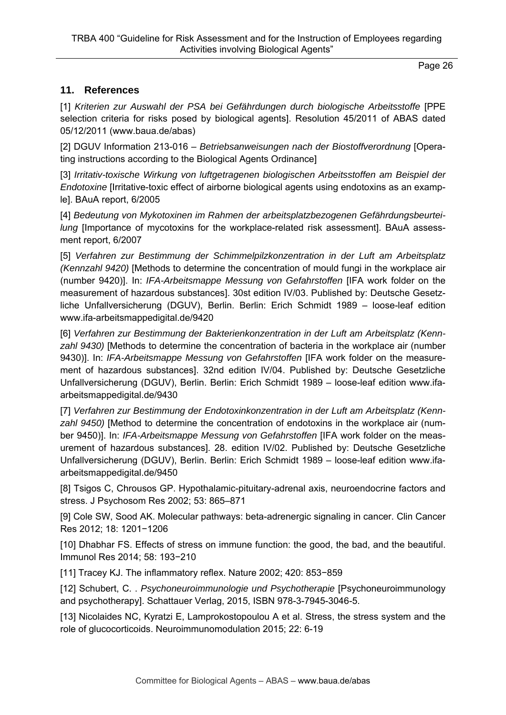# **11. References**

[1] *Kriterien zur Auswahl der PSA bei Gefährdungen durch biologische Arbeitsstoffe* [PPE selection criteria for risks posed by biological agents]. Resolution 45/2011 of ABAS dated 05/12/2011 (www.baua.de/abas)

[2] DGUV Information 213-016 – *Betriebsanweisungen nach der Biostoffverordnung* [Operating instructions according to the Biological Agents Ordinance]

[3] *Irritativ-toxische Wirkung von luftgetragenen biologischen Arbeitsstoffen am Beispiel der Endotoxine* [Irritative-toxic effect of airborne biological agents using endotoxins as an example]. BAuA report, 6/2005

[4] *Bedeutung von Mykotoxinen im Rahmen der arbeitsplatzbezogenen Gefährdungsbeurteilung* [Importance of mycotoxins for the workplace-related risk assessment]. BAuA assessment report, 6/2007

[5] *Verfahren zur Bestimmung der Schimmelpilzkonzentration in der Luft am Arbeitsplatz (Kennzahl 9420)* [Methods to determine the concentration of mould fungi in the workplace air (number 9420)]. In: *IFA-Arbeitsmappe Messung von Gefahrstoffen* [IFA work folder on the measurement of hazardous substances]. 30st edition IV/03. Published by: Deutsche Gesetzliche Unfallversicherung (DGUV), Berlin. Berlin: Erich Schmidt 1989 – loose-leaf edition www.ifa-arbeitsmappedigital.de/9420

[6] *Verfahren zur Bestimmung der Bakterienkonzentration in der Luft am Arbeitsplatz (Kennzahl 9430)* [Methods to determine the concentration of bacteria in the workplace air (number 9430)]. In: *IFA-Arbeitsmappe Messung von Gefahrstoffen* [IFA work folder on the measurement of hazardous substances]. 32nd edition IV/04. Published by: Deutsche Gesetzliche Unfallversicherung (DGUV), Berlin. Berlin: Erich Schmidt 1989 – loose-leaf edition www.ifaarbeitsmappedigital.de/9430

[7] *Verfahren zur Bestimmung der Endotoxinkonzentration in der Luft am Arbeitsplatz (Kennzahl 9450)* [Method to determine the concentration of endotoxins in the workplace air (number 9450)]. In: *IFA-Arbeitsmappe Messung von Gefahrstoffen* [IFA work folder on the measurement of hazardous substances]. 28. edition IV/02. Published by: Deutsche Gesetzliche Unfallversicherung (DGUV), Berlin. Berlin: Erich Schmidt 1989 – loose-leaf edition www.ifaarbeitsmappedigital.de/9450

[8] Tsigos C, Chrousos GP. Hypothalamic-pituitary-adrenal axis, neuroendocrine factors and stress. J Psychosom Res 2002; 53: 865–871

[9] Cole SW, Sood AK. Molecular pathways: beta-adrenergic signaling in cancer. Clin Cancer Res 2012; 18: 1201−1206

[10] Dhabhar FS. Effects of stress on immune function: the good, the bad, and the beautiful. Immunol Res 2014; 58: 193−210

[11] Tracey KJ. The inflammatory reflex. Nature 2002; 420: 853−859

[12] Schubert, C. . *Psychoneuroimmunologie und Psychotherapie* [Psychoneuroimmunology and psychotherapy]. Schattauer Verlag, 2015, ISBN 978-3-7945-3046-5.

[13] Nicolaides NC, Kyratzi E, Lamprokostopoulou A et al. Stress, the stress system and the role of glucocorticoids. Neuroimmunomodulation 2015; 22: 6-19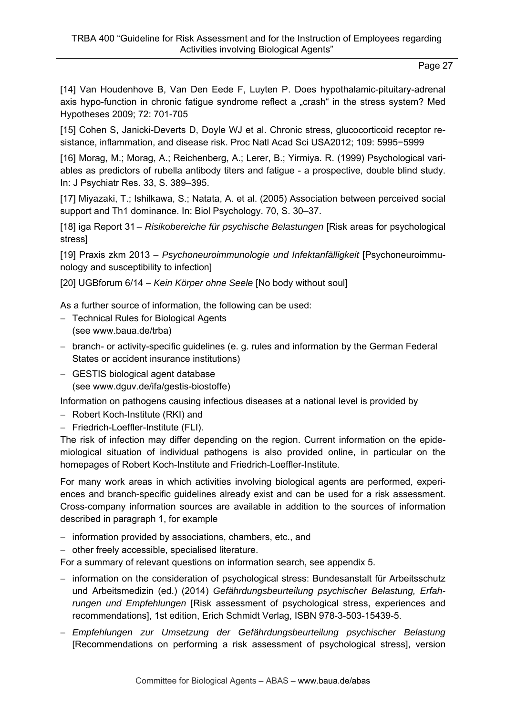[14] Van Houdenhove B, Van Den Eede F, Luyten P. Does hypothalamic-pituitary-adrenal axis hypo-function in chronic fatigue syndrome reflect a "crash" in the stress system? Med Hypotheses 2009; 72: 701-705

[15] Cohen S, Janicki-Deverts D, Doyle WJ et al. Chronic stress, glucocorticoid receptor resistance, inflammation, and disease risk. Proc Natl Acad Sci USA2012; 109: 5995−5999

[16] Morag, M.; Morag, A.; Reichenberg, A.; Lerer, B.; Yirmiya. R. (1999) Psychological variables as predictors of rubella antibody titers and fatigue - a prospective, double blind study. In: J Psychiatr Res. 33, S. 389–395.

[17] Miyazaki, T.; Ishilkawa, S.; Natata, A. et al. (2005) Association between perceived social support and Th1 dominance. In: Biol Psychology. 70, S. 30–37.

[18] iga Report 31 – *Risikobereiche für psychische Belastungen* [Risk areas for psychological stress]

[19] Praxis zkm 2013 – *Psychoneuroimmunologie und Infektanfälligkeit* [Psychoneuroimmunology and susceptibility to infection]

[20] UGBforum 6/14 – *Kein Körper ohne Seele* [No body without soul]

As a further source of information, the following can be used:

- Technical Rules for Biological Agents (see www.baua.de/trba)
- branch- or activity-specific guidelines (e. g. rules and information by the German Federal States or accident insurance institutions)
- GESTIS biological agent database (see www.dguv.de/ifa/gestis-biostoffe)

Information on pathogens causing infectious diseases at a national level is provided by

- Robert Koch-Institute (RKI) and
- Friedrich-Loeffler-Institute (FLI).

The risk of infection may differ depending on the region. Current information on the epidemiological situation of individual pathogens is also provided online, in particular on the homepages of Robert Koch-Institute and Friedrich-Loeffler-Institute.

For many work areas in which activities involving biological agents are performed, experiences and branch-specific guidelines already exist and can be used for a risk assessment. Cross-company information sources are available in addition to the sources of information described in paragraph 1, for example

- information provided by associations, chambers, etc., and
- other freely accessible, specialised literature.

For a summary of relevant questions on information search, see appendix 5.

- information on the consideration of psychological stress: Bundesanstalt für Arbeitsschutz und Arbeitsmedizin (ed.) (2014) *Gefährdungsbeurteilung psychischer Belastung, Erfahrungen und Empfehlungen* [Risk assessment of psychological stress, experiences and recommendations], 1st edition, Erich Schmidt Verlag, ISBN 978-3-503-15439-5.
- *Empfehlungen zur Umsetzung der Gefährdungsbeurteilung psychischer Belastung* [Recommendations on performing a risk assessment of psychological stress], version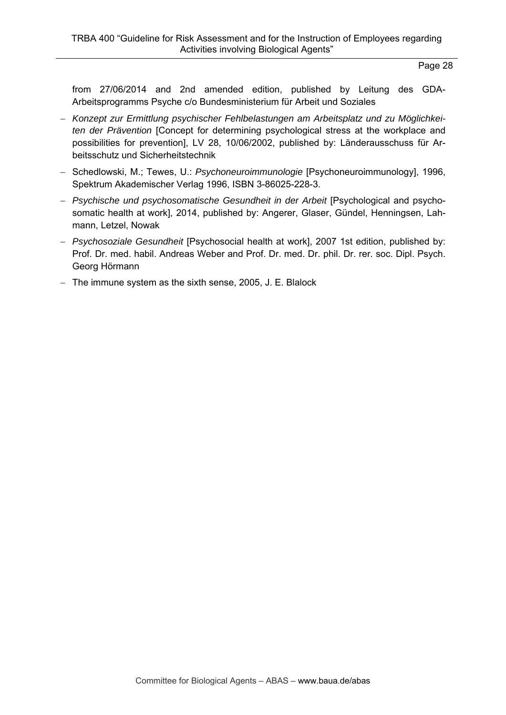from 27/06/2014 and 2nd amended edition, published by Leitung des GDA-Arbeitsprogramms Psyche c/o Bundesministerium für Arbeit und Soziales

- *Konzept zur Ermittlung psychischer Fehlbelastungen am Arbeitsplatz und zu Möglichkeiten der Prävention* [Concept for determining psychological stress at the workplace and possibilities for prevention], LV 28, 10/06/2002, published by: Länderausschuss für Arbeitsschutz und Sicherheitstechnik
- Schedlowski, M.; Tewes, U.: *Psychoneuroimmunologie* [Psychoneuroimmunology], 1996, Spektrum Akademischer Verlag 1996, ISBN 3-86025-228-3.
- *Psychische und psychosomatische Gesundheit in der Arbeit* [Psychological and psychosomatic health at work], 2014, published by: Angerer, Glaser, Gündel, Henningsen, Lahmann, Letzel, Nowak
- *Psychosoziale Gesundheit* [Psychosocial health at work], 2007 1st edition, published by: Prof. Dr. med. habil. Andreas Weber and Prof. Dr. med. Dr. phil. Dr. rer. soc. Dipl. Psych. Georg Hörmann
- The immune system as the sixth sense, 2005, J. E. Blalock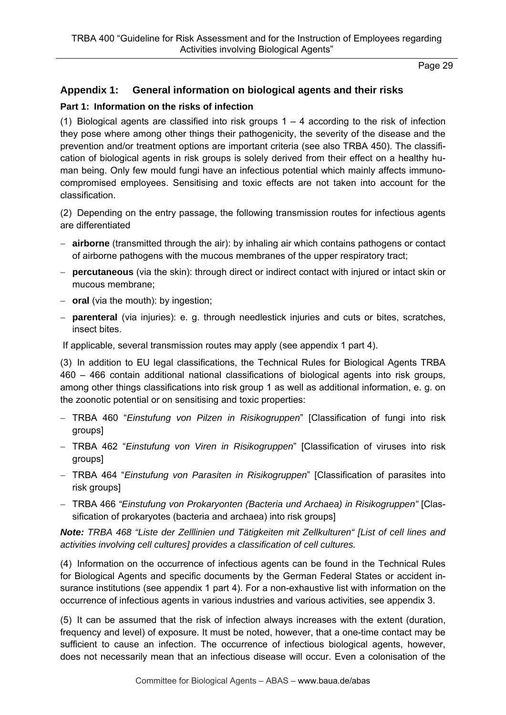## **Appendix 1: General information on biological agents and their risks**

#### **Part 1: Information on the risks of infection**

(1) Biological agents are classified into risk groups  $1 - 4$  according to the risk of infection they pose where among other things their pathogenicity, the severity of the disease and the prevention and/or treatment options are important criteria (see also TRBA 450). The classification of biological agents in risk groups is solely derived from their effect on a healthy human being. Only few mould fungi have an infectious potential which mainly affects immunocompromised employees. Sensitising and toxic effects are not taken into account for the classification.

(2) Depending on the entry passage, the following transmission routes for infectious agents are differentiated

- **airborne** (transmitted through the air): by inhaling air which contains pathogens or contact of airborne pathogens with the mucous membranes of the upper respiratory tract;
- **percutaneous** (via the skin): through direct or indirect contact with injured or intact skin or mucous membrane;
- **oral** (via the mouth): by ingestion;
- **parenteral** (via injuries): e. g. through needlestick injuries and cuts or bites, scratches, insect bites.

If applicable, several transmission routes may apply (see appendix 1 part 4).

(3) In addition to EU legal classifications, the Technical Rules for Biological Agents TRBA 460 – 466 contain additional national classifications of biological agents into risk groups, among other things classifications into risk group 1 as well as additional information, e. g. on the zoonotic potential or on sensitising and toxic properties:

- TRBA 460 "*Einstufung von Pilzen in Risikogruppen*" [Classification of fungi into risk groups]
- TRBA 462 "*Einstufung von Viren in Risikogruppen*" [Classification of viruses into risk groups]
- TRBA 464 "*Einstufung von Parasiten in Risikogruppen*" [Classification of parasites into risk groups]
- TRBA 466 *"Einstufung von Prokaryonten (Bacteria und Archaea) in Risikogruppen"* [Classification of prokaryotes (bacteria and archaea) into risk groups]

*Note: TRBA 468 "Liste der Zelllinien und Tätigkeiten mit Zellkulturen" [List of cell lines and activities involving cell cultures] provides a classification of cell cultures.* 

(4) Information on the occurrence of infectious agents can be found in the Technical Rules for Biological Agents and specific documents by the German Federal States or accident insurance institutions (see appendix 1 part 4). For a non-exhaustive list with information on the occurrence of infectious agents in various industries and various activities, see appendix 3.

(5) It can be assumed that the risk of infection always increases with the extent (duration, frequency and level) of exposure. It must be noted, however, that a one-time contact may be sufficient to cause an infection. The occurrence of infectious biological agents, however, does not necessarily mean that an infectious disease will occur. Even a colonisation of the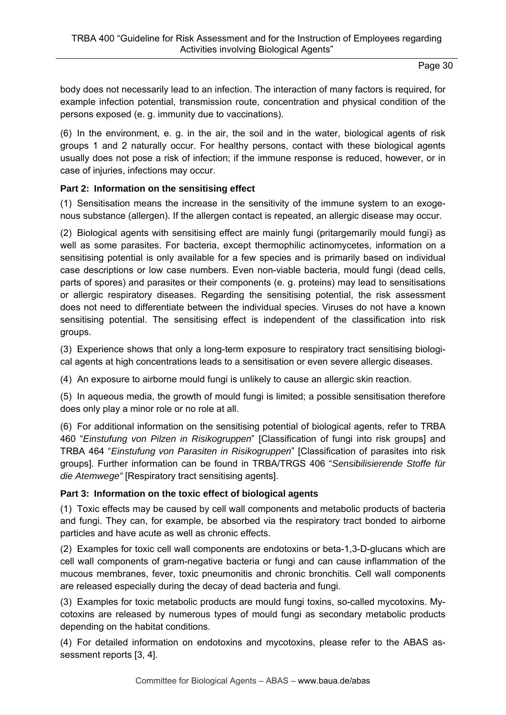body does not necessarily lead to an infection. The interaction of many factors is required, for example infection potential, transmission route, concentration and physical condition of the persons exposed (e. g. immunity due to vaccinations).

(6) In the environment, e. g. in the air, the soil and in the water, biological agents of risk groups 1 and 2 naturally occur. For healthy persons, contact with these biological agents usually does not pose a risk of infection; if the immune response is reduced, however, or in case of injuries, infections may occur.

# **Part 2: Information on the sensitising effect**

(1) Sensitisation means the increase in the sensitivity of the immune system to an exogenous substance (allergen). If the allergen contact is repeated, an allergic disease may occur.

(2) Biological agents with sensitising effect are mainly fungi (pritargemarily mould fungi) as well as some parasites. For bacteria, except thermophilic actinomycetes, information on a sensitising potential is only available for a few species and is primarily based on individual case descriptions or low case numbers. Even non-viable bacteria, mould fungi (dead cells, parts of spores) and parasites or their components (e. g. proteins) may lead to sensitisations or allergic respiratory diseases. Regarding the sensitising potential, the risk assessment does not need to differentiate between the individual species. Viruses do not have a known sensitising potential. The sensitising effect is independent of the classification into risk groups.

(3) Experience shows that only a long-term exposure to respiratory tract sensitising biological agents at high concentrations leads to a sensitisation or even severe allergic diseases.

(4) An exposure to airborne mould fungi is unlikely to cause an allergic skin reaction.

(5) In aqueous media, the growth of mould fungi is limited; a possible sensitisation therefore does only play a minor role or no role at all.

(6) For additional information on the sensitising potential of biological agents, refer to TRBA 460 "*Einstufung von Pilzen in Risikogruppen*" [Classification of fungi into risk groups] and TRBA 464 "*Einstufung von Parasiten in Risikogruppen*" [Classification of parasites into risk groups]. Further information can be found in TRBA/TRGS 406 "*Sensibilisierende Stoffe für die Atemwege"* [Respiratory tract sensitising agents].

### **Part 3: Information on the toxic effect of biological agents**

(1) Toxic effects may be caused by cell wall components and metabolic products of bacteria and fungi. They can, for example, be absorbed via the respiratory tract bonded to airborne particles and have acute as well as chronic effects.

(2) Examples for toxic cell wall components are endotoxins or beta-1,3-D-glucans which are cell wall components of gram-negative bacteria or fungi and can cause inflammation of the mucous membranes, fever, toxic pneumonitis and chronic bronchitis. Cell wall components are released especially during the decay of dead bacteria and fungi.

(3) Examples for toxic metabolic products are mould fungi toxins, so-called mycotoxins. Mycotoxins are released by numerous types of mould fungi as secondary metabolic products depending on the habitat conditions.

(4) For detailed information on endotoxins and mycotoxins, please refer to the ABAS assessment reports [3, 4].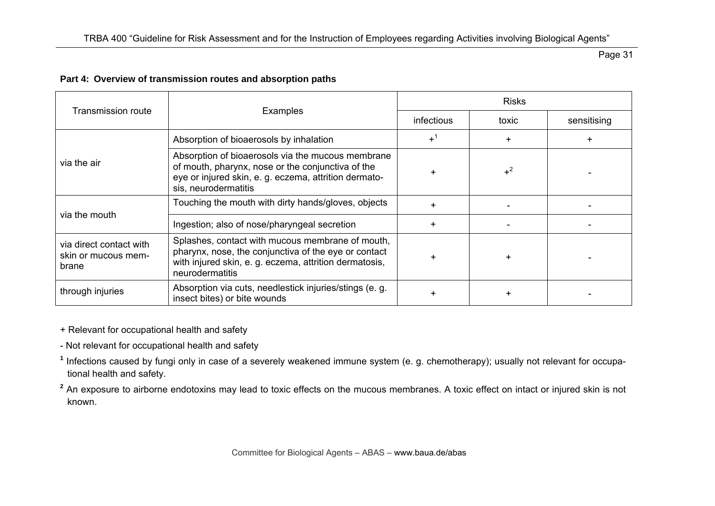#### **Part 4: Overview of transmission routes and absorption paths**

|                                                         |                                                                                                                                                                                         | <b>Risks</b>      |       |             |  |
|---------------------------------------------------------|-----------------------------------------------------------------------------------------------------------------------------------------------------------------------------------------|-------------------|-------|-------------|--|
| <b>Transmission route</b>                               | Examples                                                                                                                                                                                | <i>infectious</i> | toxic | sensitising |  |
|                                                         | Absorption of bioaerosols by inhalation                                                                                                                                                 | $+^1$             |       |             |  |
| via the air                                             | Absorption of bioaerosols via the mucous membrane<br>of mouth, pharynx, nose or the conjunctiva of the<br>eye or injured skin, e. g. eczema, attrition dermato-<br>sis, neurodermatitis | +                 | $+^2$ |             |  |
| via the mouth                                           | Touching the mouth with dirty hands/gloves, objects                                                                                                                                     |                   |       |             |  |
|                                                         | Ingestion; also of nose/pharyngeal secretion                                                                                                                                            |                   |       |             |  |
| via direct contact with<br>skin or mucous mem-<br>brane | Splashes, contact with mucous membrane of mouth,<br>pharynx, nose, the conjunctiva of the eye or contact<br>with injured skin, e. g. eczema, attrition dermatosis,<br>neurodermatitis   |                   |       |             |  |
| through injuries                                        | Absorption via cuts, needlestick injuries/stings (e. g.<br>insect bites) or bite wounds                                                                                                 |                   |       |             |  |

+ Relevant for occupational health and safety

- Not relevant for occupational health and safety

**<sup>1</sup>** Infections caused by fungi only in case of a severely weakened immune system (e. g. chemotherapy); usually not relevant for occupational health and safety.

<sup>2</sup> An exposure to airborne endotoxins may lead to toxic effects on the mucous membranes. A toxic effect on intact or injured skin is not known.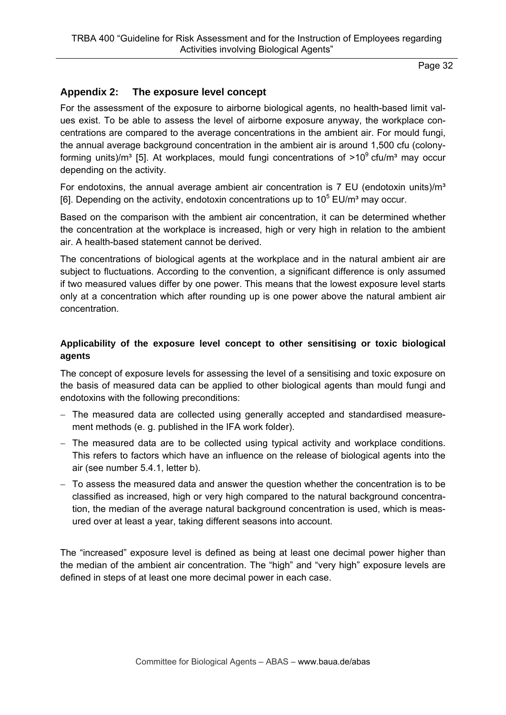# **Appendix 2: The exposure level concept**

For the assessment of the exposure to airborne biological agents, no health-based limit values exist. To be able to assess the level of airborne exposure anyway, the workplace concentrations are compared to the average concentrations in the ambient air. For mould fungi, the annual average background concentration in the ambient air is around 1,500 cfu (colonyforming units)/m<sup>3</sup> [5]. At workplaces, mould fungi concentrations of  $>10^9$  cfu/m<sup>3</sup> may occur depending on the activity.

For endotoxins, the annual average ambient air concentration is  $7$  EU (endotoxin units)/ $m<sup>3</sup>$ [6]. Depending on the activity, endotoxin concentrations up to  $10^5$  EU/m<sup>3</sup> may occur.

Based on the comparison with the ambient air concentration, it can be determined whether the concentration at the workplace is increased, high or very high in relation to the ambient air. A health-based statement cannot be derived.

The concentrations of biological agents at the workplace and in the natural ambient air are subject to fluctuations. According to the convention, a significant difference is only assumed if two measured values differ by one power. This means that the lowest exposure level starts only at a concentration which after rounding up is one power above the natural ambient air concentration.

### **Applicability of the exposure level concept to other sensitising or toxic biological agents**

The concept of exposure levels for assessing the level of a sensitising and toxic exposure on the basis of measured data can be applied to other biological agents than mould fungi and endotoxins with the following preconditions:

- The measured data are collected using generally accepted and standardised measurement methods (e. g. published in the IFA work folder).
- The measured data are to be collected using typical activity and workplace conditions. This refers to factors which have an influence on the release of biological agents into the air (see number 5.4.1, letter b).
- To assess the measured data and answer the question whether the concentration is to be classified as increased, high or very high compared to the natural background concentration, the median of the average natural background concentration is used, which is measured over at least a year, taking different seasons into account.

The "increased" exposure level is defined as being at least one decimal power higher than the median of the ambient air concentration. The "high" and "very high" exposure levels are defined in steps of at least one more decimal power in each case.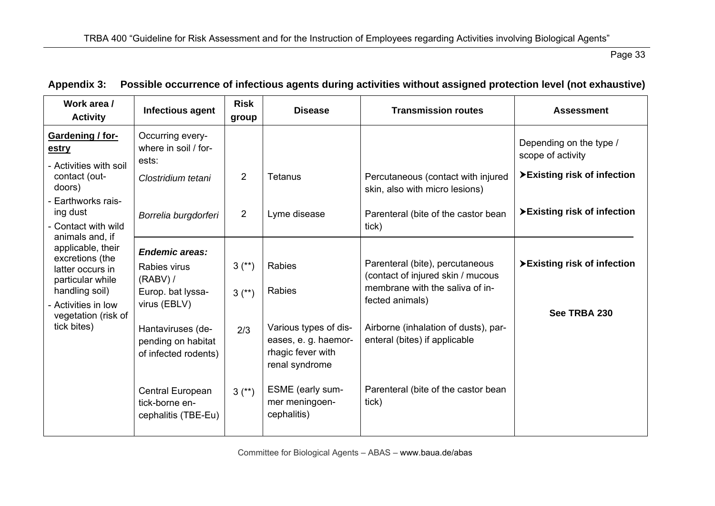| Work area /<br><b>Activity</b>                                                                                                                                  | Infectious agent                                                                         | <b>Risk</b><br>group   | <b>Disease</b>                                                                       | <b>Transmission routes</b>                                                                                                 | <b>Assessment</b>                            |
|-----------------------------------------------------------------------------------------------------------------------------------------------------------------|------------------------------------------------------------------------------------------|------------------------|--------------------------------------------------------------------------------------|----------------------------------------------------------------------------------------------------------------------------|----------------------------------------------|
| Gardening / for-<br>estry<br>- Activities with soil                                                                                                             | Occurring every-<br>where in soil / for-<br>ests:                                        |                        |                                                                                      |                                                                                                                            | Depending on the type /<br>scope of activity |
| contact (out-<br>doors)                                                                                                                                         | Clostridium tetani                                                                       | 2                      | <b>Tetanus</b>                                                                       | Percutaneous (contact with injured<br>skin, also with micro lesions)                                                       | ▶ Existing risk of infection                 |
| Earthworks rais-<br>ing dust<br>- Contact with wild                                                                                                             | Borrelia burgdorferi                                                                     | 2                      | Lyme disease                                                                         | Parenteral (bite of the castor bean<br>tick)                                                                               | ▶ Existing risk of infection                 |
| animals and, if<br>applicable, their<br>excretions (the<br>latter occurs in<br>particular while<br>handling soil)<br>- Activities in low<br>vegetation (risk of | <b>Endemic areas:</b><br>Rabies virus<br>$(RABV)$ /<br>Europ. bat lyssa-<br>virus (EBLV) | $3^{(*)}$<br>$3^{(*)}$ | <b>Rabies</b><br><b>Rabies</b>                                                       | Parenteral (bite), percutaneous<br>(contact of injured skin / mucous<br>membrane with the saliva of in-<br>fected animals) | ▶ Existing risk of infection<br>See TRBA 230 |
| tick bites)                                                                                                                                                     | Hantaviruses (de-<br>pending on habitat<br>of infected rodents)                          | 2/3                    | Various types of dis-<br>eases, e. g. haemor-<br>rhagic fever with<br>renal syndrome | Airborne (inhalation of dusts), par-<br>enteral (bites) if applicable                                                      |                                              |
|                                                                                                                                                                 | Central European<br>tick-borne en-<br>cephalitis (TBE-Eu)                                | $3^{(*)}$              | ESME (early sum-<br>mer meningoen-<br>cephalitis)                                    | Parenteral (bite of the castor bean<br>tick)                                                                               |                                              |

# **Appendix 3: Possible occurrence of infectious agents during activities without assigned protection level (not exhaustive)**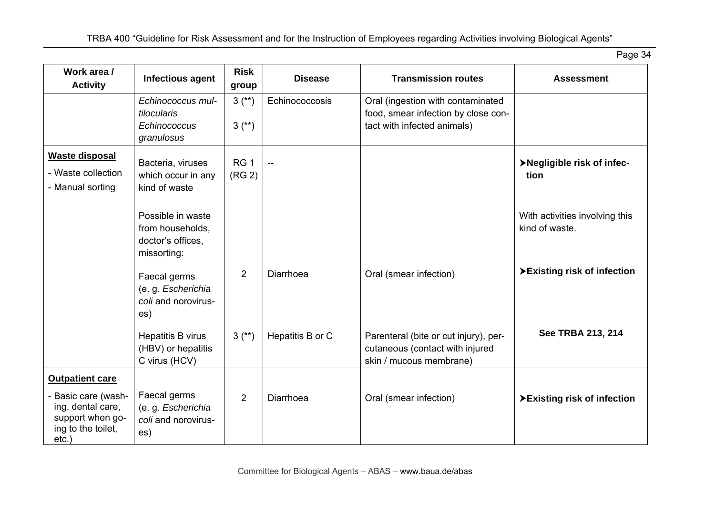| Work area /<br><b>Activity</b>                                                                                           | Infectious agent                                                          | <b>Risk</b><br>group                  | <b>Disease</b>           | <b>Transmission routes</b>                                                                              | <b>Assessment</b>                                |
|--------------------------------------------------------------------------------------------------------------------------|---------------------------------------------------------------------------|---------------------------------------|--------------------------|---------------------------------------------------------------------------------------------------------|--------------------------------------------------|
|                                                                                                                          | Echinococcus mul-<br>tilocularis<br>Echinococcus<br>granulosus            | $3^{(*)}$<br>$3^{(*)}$                | Echinococcosis           | Oral (ingestion with contaminated<br>food, smear infection by close con-<br>tact with infected animals) |                                                  |
| <b>Waste disposal</b><br>- Waste collection<br>- Manual sorting                                                          | Bacteria, viruses<br>which occur in any<br>kind of waste                  | RG <sub>1</sub><br>(RG <sub>2</sub> ) | $\overline{\phantom{a}}$ |                                                                                                         | >Negligible risk of infec-<br>tion               |
|                                                                                                                          | Possible in waste<br>from households,<br>doctor's offices,<br>missorting: |                                       |                          |                                                                                                         | With activities involving this<br>kind of waste. |
|                                                                                                                          | Faecal germs<br>(e. g. Escherichia<br>coli and norovirus-<br>es)          | $\overline{2}$                        | Diarrhoea                | Oral (smear infection)                                                                                  | >Existing risk of infection                      |
|                                                                                                                          | Hepatitis B virus<br>(HBV) or hepatitis<br>C virus (HCV)                  | $3^{(*)}$                             | Hepatitis B or C         | Parenteral (bite or cut injury), per-<br>cutaneous (contact with injured<br>skin / mucous membrane)     | See TRBA 213, 214                                |
| <b>Outpatient care</b><br>- Basic care (wash-<br>ing, dental care,<br>support when go-<br>ing to the toilet,<br>$etc.$ ) | Faecal germs<br>(e. g. Escherichia<br>coli and norovirus-<br>es)          | $\overline{2}$                        | Diarrhoea                | Oral (smear infection)                                                                                  | >Existing risk of infection                      |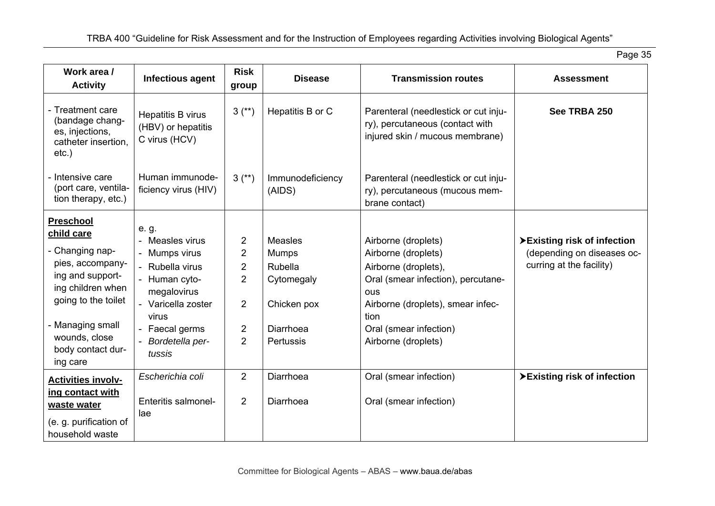| Work area /                                                                                                                                                                                                 | Infectious agent                                                                                                                                                           | <b>Risk</b>                                                                                      | <b>Disease</b>                                                                                   | <b>Transmission routes</b>                                                                                                                                                                                    | <b>Assessment</b>                                                                      |
|-------------------------------------------------------------------------------------------------------------------------------------------------------------------------------------------------------------|----------------------------------------------------------------------------------------------------------------------------------------------------------------------------|--------------------------------------------------------------------------------------------------|--------------------------------------------------------------------------------------------------|---------------------------------------------------------------------------------------------------------------------------------------------------------------------------------------------------------------|----------------------------------------------------------------------------------------|
| <b>Activity</b>                                                                                                                                                                                             |                                                                                                                                                                            | group                                                                                            |                                                                                                  |                                                                                                                                                                                                               |                                                                                        |
| - Treatment care<br>(bandage chang-<br>es, injections,<br>catheter insertion.<br>etc.)                                                                                                                      | Hepatitis B virus<br>(HBV) or hepatitis<br>C virus (HCV)                                                                                                                   | $3^{(*)}$                                                                                        | Hepatitis B or C                                                                                 | Parenteral (needlestick or cut inju-<br>ry), percutaneous (contact with<br>injured skin / mucous membrane)                                                                                                    | See TRBA 250                                                                           |
| - Intensive care<br>(port care, ventila-<br>tion therapy, etc.)                                                                                                                                             | Human immunode-<br>ficiency virus (HIV)                                                                                                                                    | $3^{(*)}$                                                                                        | Immunodeficiency<br>(AIDS)                                                                       | Parenteral (needlestick or cut inju-<br>ry), percutaneous (mucous mem-<br>brane contact)                                                                                                                      |                                                                                        |
| <b>Preschool</b><br>child care<br>- Changing nap-<br>pies, accompany-<br>ing and support-<br>ing children when<br>going to the toilet<br>- Managing small<br>wounds, close<br>body contact dur-<br>ing care | e. g.<br>Measles virus<br>- Mumps virus<br>- Rubella virus<br>- Human cyto-<br>megalovirus<br>- Varicella zoster<br>virus<br>- Faecal germs<br>- Bordetella per-<br>tussis | 2<br>$\overline{2}$<br>$\overline{2}$<br>$\overline{2}$<br>$\overline{2}$<br>2<br>$\overline{2}$ | <b>Measles</b><br><b>Mumps</b><br>Rubella<br>Cytomegaly<br>Chicken pox<br>Diarrhoea<br>Pertussis | Airborne (droplets)<br>Airborne (droplets)<br>Airborne (droplets),<br>Oral (smear infection), percutane-<br>ous<br>Airborne (droplets), smear infec-<br>tion<br>Oral (smear infection)<br>Airborne (droplets) | ▶ Existing risk of infection<br>(depending on diseases oc-<br>curring at the facility) |
| <b>Activities involv-</b><br>ing contact with<br>waste water<br>(e. g. purification of<br>household waste                                                                                                   | Escherichia coli<br>Enteritis salmonel-<br>lae                                                                                                                             | 2<br>2                                                                                           | Diarrhoea<br>Diarrhoea                                                                           | Oral (smear infection)<br>Oral (smear infection)                                                                                                                                                              | ▶ Existing risk of infection                                                           |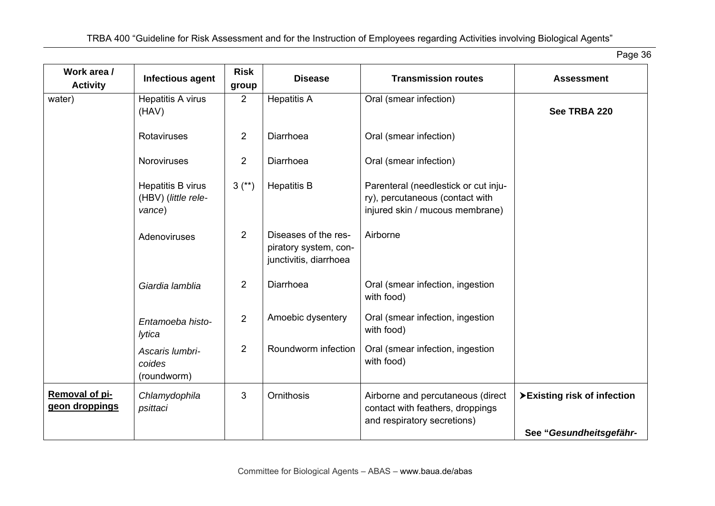| Work area /<br><b>Activity</b>   | Infectious agent                                   | <b>Risk</b><br>group | <b>Disease</b>                                                          | <b>Transmission routes</b>                                                                                 | <b>Assessment</b>           |
|----------------------------------|----------------------------------------------------|----------------------|-------------------------------------------------------------------------|------------------------------------------------------------------------------------------------------------|-----------------------------|
| water)                           | Hepatitis A virus<br>(HAV)                         | $\overline{2}$       | <b>Hepatitis A</b>                                                      | Oral (smear infection)                                                                                     | See TRBA 220                |
|                                  | Rotaviruses                                        | $\overline{2}$       | Diarrhoea                                                               | Oral (smear infection)                                                                                     |                             |
|                                  | Noroviruses                                        | $\overline{2}$       | Diarrhoea                                                               | Oral (smear infection)                                                                                     |                             |
|                                  | Hepatitis B virus<br>(HBV) (little rele-<br>vance) | $3^{(*)}$            | <b>Hepatitis B</b>                                                      | Parenteral (needlestick or cut inju-<br>ry), percutaneous (contact with<br>injured skin / mucous membrane) |                             |
|                                  | Adenoviruses                                       | $\overline{2}$       | Diseases of the res-<br>piratory system, con-<br>junctivitis, diarrhoea | Airborne                                                                                                   |                             |
|                                  | Giardia lamblia                                    | $\overline{2}$       | Diarrhoea                                                               | Oral (smear infection, ingestion<br>with food)                                                             |                             |
|                                  | Entamoeba histo-<br>lytica                         | $\overline{2}$       | Amoebic dysentery                                                       | Oral (smear infection, ingestion<br>with food)                                                             |                             |
|                                  | Ascaris lumbri-<br>coides<br>(roundworm)           | $\overline{2}$       | Roundworm infection                                                     | Oral (smear infection, ingestion<br>with food)                                                             |                             |
| Removal of pi-<br>geon droppings | Chlamydophila<br>psittaci                          | 3                    | <b>Ornithosis</b>                                                       | Airborne and percutaneous (direct<br>contact with feathers, droppings<br>and respiratory secretions)       | >Existing risk of infection |
|                                  |                                                    |                      |                                                                         |                                                                                                            | See "Gesundheitsgefähr-     |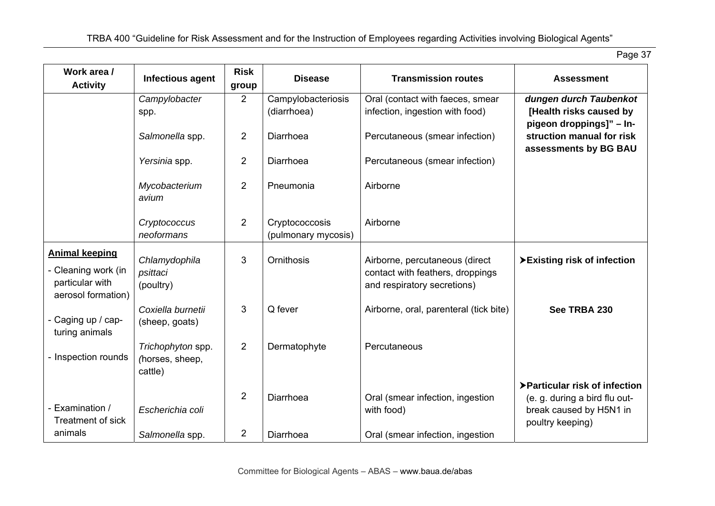| Work area /<br><b>Activity</b>                                                        | Infectious agent                                | <b>Risk</b><br>group             | <b>Disease</b>                        | <b>Transmission routes</b>                                                                        | <b>Assessment</b>                                                                                              |
|---------------------------------------------------------------------------------------|-------------------------------------------------|----------------------------------|---------------------------------------|---------------------------------------------------------------------------------------------------|----------------------------------------------------------------------------------------------------------------|
|                                                                                       | Campylobacter                                   | $\overline{2}$                   | Campylobacteriosis                    | Oral (contact with faeces, smear                                                                  | dungen durch Taubenkot                                                                                         |
|                                                                                       | spp.                                            |                                  | (diarrhoea)                           | infection, ingestion with food)                                                                   | [Health risks caused by                                                                                        |
|                                                                                       | Salmonella spp.                                 | 2                                | Diarrhoea                             | Percutaneous (smear infection)                                                                    | pigeon droppings]" - In-<br>struction manual for risk<br>assessments by BG BAU                                 |
|                                                                                       | Yersinia spp.                                   | $\overline{2}$                   | Diarrhoea                             | Percutaneous (smear infection)                                                                    |                                                                                                                |
|                                                                                       | Mycobacterium<br>avium                          | $\overline{2}$                   | Pneumonia                             | Airborne                                                                                          |                                                                                                                |
|                                                                                       | Cryptococcus<br>neoformans                      | $\overline{2}$                   | Cryptococcosis<br>(pulmonary mycosis) | Airborne                                                                                          |                                                                                                                |
| <b>Animal keeping</b><br>- Cleaning work (in<br>particular with<br>aerosol formation) | Chlamydophila<br>psittaci<br>(poultry)          | 3                                | Ornithosis                            | Airborne, percutaneous (direct<br>contact with feathers, droppings<br>and respiratory secretions) | >Existing risk of infection                                                                                    |
| - Caging up / cap-<br>turing animals                                                  | Coxiella burnetii<br>(sheep, goats)             | 3                                | Q fever                               | Airborne, oral, parenteral (tick bite)                                                            | See TRBA 230                                                                                                   |
| - Inspection rounds                                                                   | Trichophyton spp.<br>(horses, sheep,<br>cattle) | $\overline{2}$                   | Dermatophyte                          | Percutaneous                                                                                      |                                                                                                                |
| - Examination /<br><b>Treatment of sick</b><br>animals                                | Escherichia coli<br>Salmonella spp.             | $\overline{2}$<br>$\overline{2}$ | Diarrhoea<br>Diarrhoea                | Oral (smear infection, ingestion<br>with food)<br>Oral (smear infection, ingestion                | ▶ Particular risk of infection<br>(e. g. during a bird flu out-<br>break caused by H5N1 in<br>poultry keeping) |
|                                                                                       |                                                 |                                  |                                       |                                                                                                   |                                                                                                                |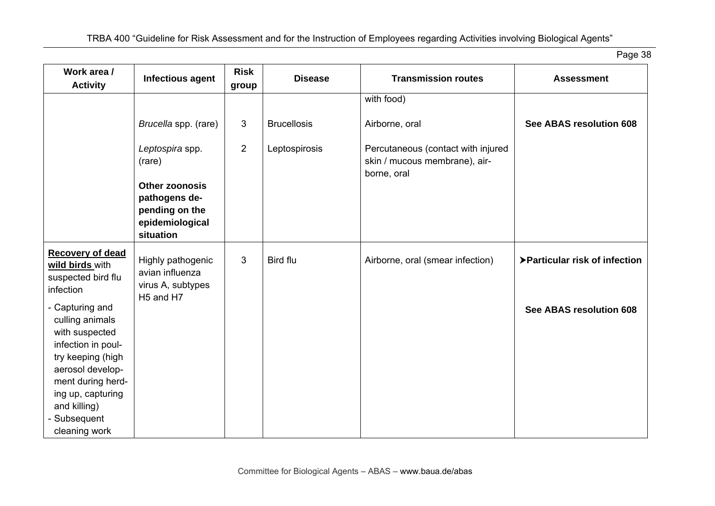| Work area /<br><b>Activity</b>                                                                                                                                                                                 | Infectious agent                                                                               | <b>Risk</b><br>group | <b>Disease</b>     | <b>Transmission routes</b>                                                         | <b>Assessment</b>             |
|----------------------------------------------------------------------------------------------------------------------------------------------------------------------------------------------------------------|------------------------------------------------------------------------------------------------|----------------------|--------------------|------------------------------------------------------------------------------------|-------------------------------|
|                                                                                                                                                                                                                |                                                                                                |                      |                    | with food)                                                                         |                               |
|                                                                                                                                                                                                                | Brucella spp. (rare)                                                                           | 3                    | <b>Brucellosis</b> | Airborne, oral                                                                     | See ABAS resolution 608       |
|                                                                                                                                                                                                                | Leptospira spp.<br>(rare)                                                                      | $\overline{2}$       | Leptospirosis      | Percutaneous (contact with injured<br>skin / mucous membrane), air-<br>borne, oral |                               |
|                                                                                                                                                                                                                | Other zoonosis<br>pathogens de-<br>pending on the<br>epidemiological<br>situation              |                      |                    |                                                                                    |                               |
| <b>Recovery of dead</b><br>wild birds with<br>suspected bird flu<br>infection                                                                                                                                  | Highly pathogenic<br>avian influenza<br>virus A, subtypes<br>H <sub>5</sub> and H <sub>7</sub> | 3                    | Bird flu           | Airborne, oral (smear infection)                                                   | >Particular risk of infection |
| - Capturing and<br>culling animals<br>with suspected<br>infection in poul-<br>try keeping (high<br>aerosol develop-<br>ment during herd-<br>ing up, capturing<br>and killing)<br>- Subsequent<br>cleaning work |                                                                                                |                      |                    |                                                                                    | See ABAS resolution 608       |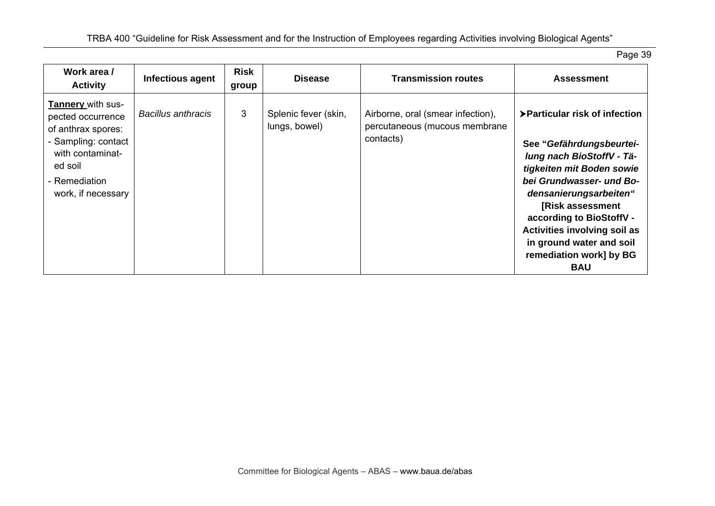| Work area /<br><b>Activity</b>                                                                                                                            | Infectious agent          | Risk<br>group | <b>Disease</b>                        | <b>Transmission routes</b>                                                      | <b>Assessment</b>                                                                                                                                                                                                                                                                                                               |
|-----------------------------------------------------------------------------------------------------------------------------------------------------------|---------------------------|---------------|---------------------------------------|---------------------------------------------------------------------------------|---------------------------------------------------------------------------------------------------------------------------------------------------------------------------------------------------------------------------------------------------------------------------------------------------------------------------------|
| Tannery with sus-<br>pected occurrence<br>of anthrax spores:<br>- Sampling: contact<br>with contaminat-<br>ed soil<br>- Remediation<br>work, if necessary | <b>Bacillus anthracis</b> | 3             | Splenic fever (skin,<br>lungs, bowel) | Airborne, oral (smear infection),<br>percutaneous (mucous membrane<br>contacts) | ▶ Particular risk of infection<br>See "Gefährdungsbeurtei-<br>lung nach BioStoffV - Tä-<br>tigkeiten mit Boden sowie<br>bei Grundwasser- und Bo-<br>densanierungsarbeiten"<br>[Risk assessment<br>according to BioStoffV -<br>Activities involving soil as<br>in ground water and soil<br>remediation work] by BG<br><b>BAU</b> |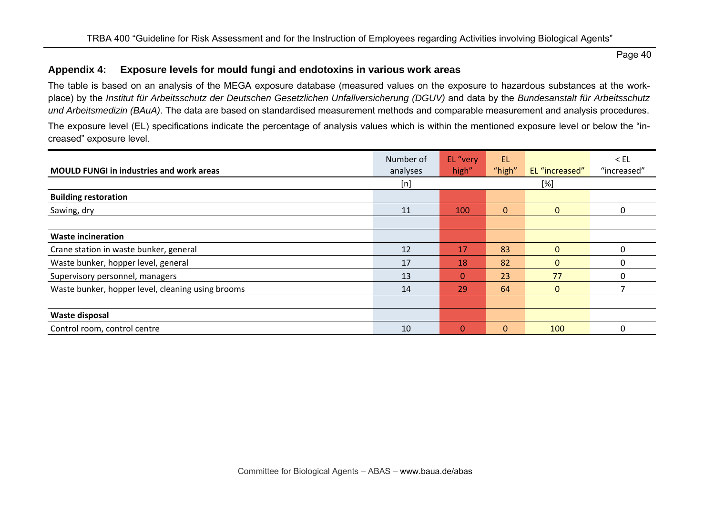### **Appendix 4: Exposure levels for mould fungi and endotoxins in various work areas**

The table is based on an analysis of the MEGA exposure database (measured values on the exposure to hazardous substances at the workplace) by the *Institut für Arbeitsschutz der Deutschen Gesetzlichen Unfallversicherung (DGUV)* and data by the *Bundesanstalt für Arbeitsschutz und Arbeitsmedizin (BAuA)*. The data are based on standardised measurement methods and comparable measurement and analysis procedures.

The exposure level (EL) specifications indicate the percentage of analysis values which is within the mentioned exposure level or below the "increased" exposure level.

| <b>MOULD FUNGI in industries and work areas</b>   | Number of<br>analyses | EL "very<br>high" | <b>EL</b><br>"high" | EL "increased" | $<$ EL<br>"increased" |
|---------------------------------------------------|-----------------------|-------------------|---------------------|----------------|-----------------------|
|                                                   | [n]                   |                   |                     | [%]            |                       |
| <b>Building restoration</b>                       |                       |                   |                     |                |                       |
| Sawing, dry                                       | 11                    | 100               | $\mathbf{0}$        | $\Omega$       | 0                     |
|                                                   |                       |                   |                     |                |                       |
| <b>Waste incineration</b>                         |                       |                   |                     |                |                       |
| Crane station in waste bunker, general            | 12                    | 17                | 83                  | $\Omega$       | 0                     |
| Waste bunker, hopper level, general               | 17                    | 18                | 82                  | $\Omega$       | C                     |
| Supervisory personnel, managers                   | 13                    | 0                 | 23                  | 77             | 0                     |
| Waste bunker, hopper level, cleaning using brooms | 14                    | 29                | 64                  | $\Omega$       |                       |
|                                                   |                       |                   |                     |                |                       |
| Waste disposal                                    |                       |                   |                     |                |                       |
| Control room, control centre                      | 10                    | $\Omega$          | $\Omega$            | 100            | $\Omega$              |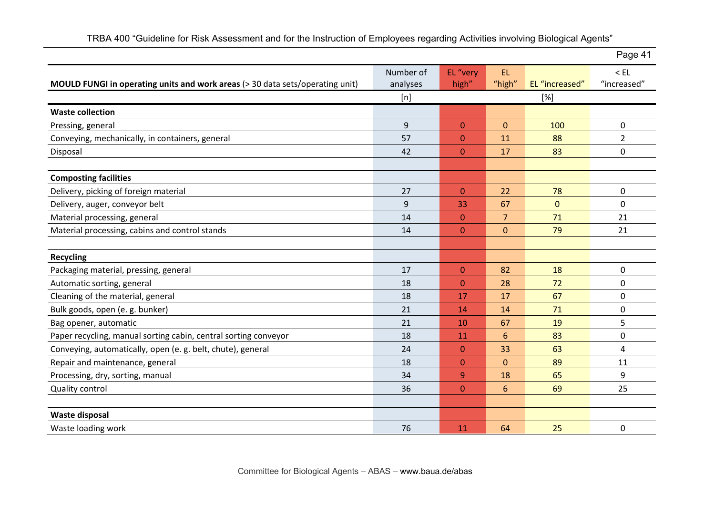|                                                                               |           |                  |                |                | Page 41     |
|-------------------------------------------------------------------------------|-----------|------------------|----------------|----------------|-------------|
|                                                                               | Number of | EL "very         | EL.            |                | $<$ EL      |
| MOULD FUNGI in operating units and work areas (> 30 data sets/operating unit) | analyses  | high"            | "high"         | EL "increased" | "increased" |
|                                                                               | [n]       |                  |                | [%]            |             |
| <b>Waste collection</b>                                                       |           |                  |                |                |             |
| Pressing, general                                                             | 9         | $\boldsymbol{0}$ | $\pmb{0}$      | 100            | $\mathbf 0$ |
| Conveying, mechanically, in containers, general                               | 57        | $\mathbf{0}$     | 11             | 88             | 2           |
| Disposal                                                                      | 42        | $\mathbf{0}$     | 17             | 83             | $\mathbf 0$ |
|                                                                               |           |                  |                |                |             |
| <b>Composting facilities</b>                                                  |           |                  |                |                |             |
| Delivery, picking of foreign material                                         | 27        | $\mathbf{0}$     | 22             | 78             | $\mathbf 0$ |
| Delivery, auger, conveyor belt                                                | 9         | 33               | 67             | $\pmb{0}$      | $\mathbf 0$ |
| Material processing, general                                                  | 14        | $\mathbf{0}$     | $\overline{7}$ | 71             | 21          |
| Material processing, cabins and control stands                                | 14        | $\mathbf{0}$     | $\mathbf{0}$   | 79             | 21          |
|                                                                               |           |                  |                |                |             |
| <b>Recycling</b>                                                              |           |                  |                |                |             |
| Packaging material, pressing, general                                         | 17        | $\overline{0}$   | 82             | 18             | $\mathbf 0$ |
| Automatic sorting, general                                                    | 18        | $\boldsymbol{0}$ | 28             | 72             | $\mathbf 0$ |
| Cleaning of the material, general                                             | 18        | 17               | 17             | 67             | $\mathbf 0$ |
| Bulk goods, open (e. g. bunker)                                               | 21        | 14               | 14             | 71             | $\mathbf 0$ |
| Bag opener, automatic                                                         | 21        | 10               | 67             | 19             | 5           |
| Paper recycling, manual sorting cabin, central sorting conveyor               | 18        | 11               | $6\phantom{1}$ | 83             | $\mathbf 0$ |
| Conveying, automatically, open (e. g. belt, chute), general                   | 24        | $\Omega$         | 33             | 63             | 4           |
| Repair and maintenance, general                                               | 18        | $\mathbf{0}$     | $\mathbf 0$    | 89             | 11          |
| Processing, dry, sorting, manual                                              | 34        | 9                | 18             | 65             | 9           |
| Quality control                                                               | 36        | $\mathbf{0}$     | $6\phantom{1}$ | 69             | 25          |
|                                                                               |           |                  |                |                |             |
| Waste disposal                                                                |           |                  |                |                |             |
| Waste loading work                                                            | 76        | 11               | 64             | 25             | $\mathbf 0$ |

TRBA 400 "Guideline for Risk Assessment and for the Instruction of Employees regarding Activities involving Biological Agents"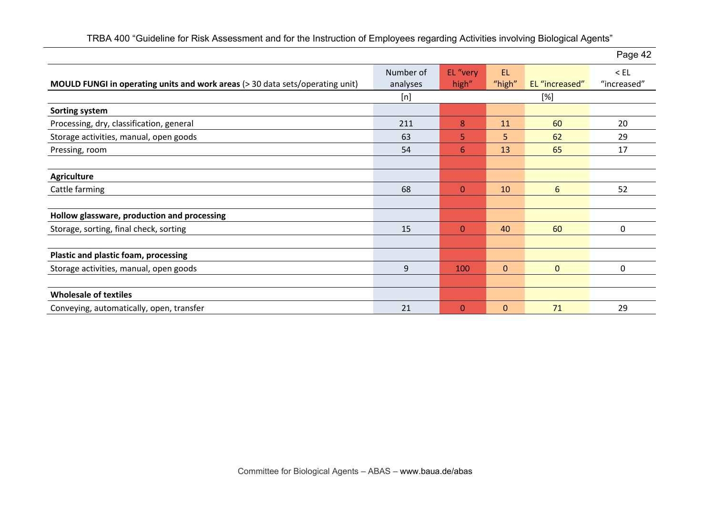|                                                                               |                       |                   |                     |                | Page 42               |
|-------------------------------------------------------------------------------|-----------------------|-------------------|---------------------|----------------|-----------------------|
| MOULD FUNGI in operating units and work areas (> 30 data sets/operating unit) | Number of<br>analyses | EL "very<br>high" | <b>EL</b><br>"high" | EL "increased" | $<$ EL<br>"increased" |
|                                                                               | [n]                   |                   |                     | [%]            |                       |
| Sorting system                                                                |                       |                   |                     |                |                       |
| Processing, dry, classification, general                                      | 211                   | 8                 | 11                  | 60             | 20                    |
| Storage activities, manual, open goods                                        | 63                    | 5                 | 5                   | 62             | 29                    |
| Pressing, room                                                                | 54                    | 6                 | 13                  | 65             | 17                    |
|                                                                               |                       |                   |                     |                |                       |
| <b>Agriculture</b>                                                            |                       |                   |                     |                |                       |
| Cattle farming                                                                | 68                    | $\mathbf{0}$      | 10                  | 6              | 52                    |
|                                                                               |                       |                   |                     |                |                       |
| Hollow glassware, production and processing                                   |                       |                   |                     |                |                       |
| Storage, sorting, final check, sorting                                        | 15                    | $\Omega$          | 40                  | 60             | $\Omega$              |
|                                                                               |                       |                   |                     |                |                       |
| Plastic and plastic foam, processing                                          |                       |                   |                     |                |                       |
| Storage activities, manual, open goods                                        | 9                     | 100               | $\mathbf{0}$        | $\mathbf{0}$   | 0                     |
|                                                                               |                       |                   |                     |                |                       |
| <b>Wholesale of textiles</b>                                                  |                       |                   |                     |                |                       |
| Conveying, automatically, open, transfer                                      | 21                    | $\mathbf{0}$      | $\mathbf{0}$        | 71             | 29                    |

TRBA 400 "Guideline for Risk Assessment and for the Instruction of Employees regarding Activities involving Biological Agents"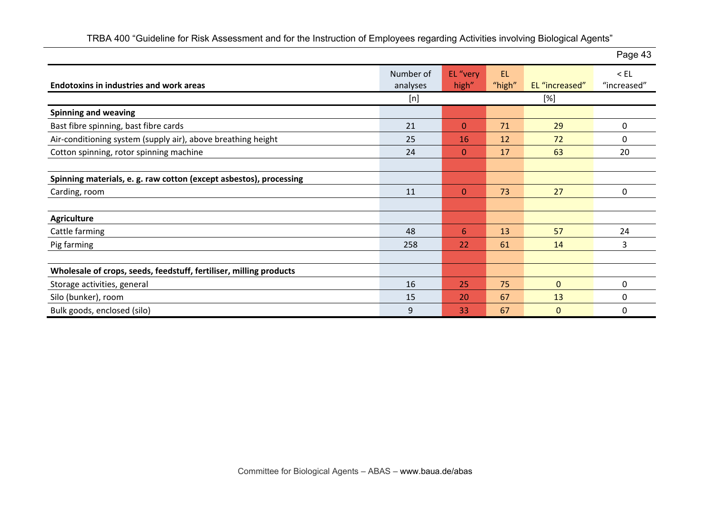|                                                                    |                       |                   |               |                | Page 43               |
|--------------------------------------------------------------------|-----------------------|-------------------|---------------|----------------|-----------------------|
| <b>Endotoxins in industries and work areas</b>                     | Number of<br>analyses | EL "very<br>high" | EL.<br>"high" | EL "increased" | $<$ EL<br>"increased" |
|                                                                    | [n]                   |                   |               | [%]            |                       |
| <b>Spinning and weaving</b>                                        |                       |                   |               |                |                       |
| Bast fibre spinning, bast fibre cards                              | 21                    | $\mathbf{0}$      | 71            | 29             | $\mathbf{0}$          |
| Air-conditioning system (supply air), above breathing height       | 25                    | 16                | 12            | 72             | $\Omega$              |
| Cotton spinning, rotor spinning machine                            | 24                    | $\mathbf{0}$      | 17            | 63             | 20                    |
|                                                                    |                       |                   |               |                |                       |
| Spinning materials, e. g. raw cotton (except asbestos), processing |                       |                   |               |                |                       |
| Carding, room                                                      | 11                    | $\mathbf{0}$      | 73            | 27             | $\mathbf 0$           |
|                                                                    |                       |                   |               |                |                       |
| <b>Agriculture</b>                                                 |                       |                   |               |                |                       |
| Cattle farming                                                     | 48                    | 6                 | 13            | 57             | 24                    |
| Pig farming                                                        | 258                   | 22                | 61            | 14             | 3                     |
|                                                                    |                       |                   |               |                |                       |
| Wholesale of crops, seeds, feedstuff, fertiliser, milling products |                       |                   |               |                |                       |
| Storage activities, general                                        | 16                    | 25                | 75            | $\mathbf{0}$   | $\Omega$              |
| Silo (bunker), room                                                | 15                    | 20                | 67            | 13             | $\Omega$              |
| Bulk goods, enclosed (silo)                                        | 9                     | 33                | 67            | $\mathbf{0}$   | $\Omega$              |

TRBA 400 "Guideline for Risk Assessment and for the Instruction of Employees regarding Activities involving Biological Agents"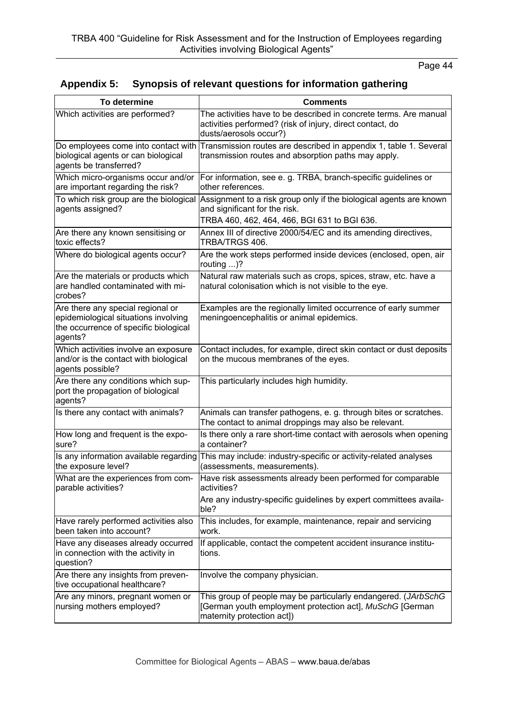# **Appendix 5: Synopsis of relevant questions for information gathering**

| To determine                                                                                                                  | <b>Comments</b>                                                                                                                                                                            |  |  |  |  |
|-------------------------------------------------------------------------------------------------------------------------------|--------------------------------------------------------------------------------------------------------------------------------------------------------------------------------------------|--|--|--|--|
| Which activities are performed?                                                                                               | The activities have to be described in concrete terms. Are manual<br>activities performed? (risk of injury, direct contact, do<br>dusts/aerosols occur?)                                   |  |  |  |  |
| Do employees come into contact with<br>biological agents or can biological<br>agents be transferred?                          | Transmission routes are described in appendix 1, table 1. Several<br>transmission routes and absorption paths may apply.                                                                   |  |  |  |  |
| Which micro-organisms occur and/or<br>are important regarding the risk?                                                       | For information, see e. g. TRBA, branch-specific guidelines or<br>other references.                                                                                                        |  |  |  |  |
| agents assigned?                                                                                                              | To which risk group are the biological Assignment to a risk group only if the biological agents are known<br>and significant for the risk.<br>TRBA 460, 462, 464, 466, BGI 631 to BGI 636. |  |  |  |  |
| Are there any known sensitising or<br>toxic effects?                                                                          | Annex III of directive 2000/54/EC and its amending directives,<br>TRBA/TRGS 406.                                                                                                           |  |  |  |  |
| Where do biological agents occur?                                                                                             | Are the work steps performed inside devices (enclosed, open, air<br>routing $\ldots$ ?                                                                                                     |  |  |  |  |
| Are the materials or products which<br>are handled contaminated with mi-<br>crobes?                                           | Natural raw materials such as crops, spices, straw, etc. have a<br>natural colonisation which is not visible to the eye.                                                                   |  |  |  |  |
| Are there any special regional or<br>epidemiological situations involving<br>the occurrence of specific biological<br>agents? | Examples are the regionally limited occurrence of early summer<br>meningoencephalitis or animal epidemics.                                                                                 |  |  |  |  |
| Which activities involve an exposure<br>and/or is the contact with biological<br>agents possible?                             | Contact includes, for example, direct skin contact or dust deposits<br>on the mucous membranes of the eyes.                                                                                |  |  |  |  |
| Are there any conditions which sup-<br>port the propagation of biological<br>agents?                                          | This particularly includes high humidity.                                                                                                                                                  |  |  |  |  |
| Is there any contact with animals?                                                                                            | Animals can transfer pathogens, e. g. through bites or scratches.<br>The contact to animal droppings may also be relevant.                                                                 |  |  |  |  |
| How long and frequent is the expo-<br>sure?                                                                                   | Is there only a rare short-time contact with aerosols when opening<br>a container?                                                                                                         |  |  |  |  |
| Is any information available regarding<br>the exposure level?                                                                 | This may include: industry-specific or activity-related analyses<br>(assessments, measurements).                                                                                           |  |  |  |  |
| What are the experiences from com-<br>parable activities?                                                                     | Have risk assessments already been performed for comparable<br>activities?<br>Are any industry-specific guidelines by expert committees availa-                                            |  |  |  |  |
|                                                                                                                               | ble?                                                                                                                                                                                       |  |  |  |  |
| Have rarely performed activities also<br>been taken into account?                                                             | This includes, for example, maintenance, repair and servicing<br>work.                                                                                                                     |  |  |  |  |
| Have any diseases already occurred<br>in connection with the activity in<br>question?                                         | If applicable, contact the competent accident insurance institu-<br>tions.                                                                                                                 |  |  |  |  |
| Are there any insights from preven-<br>tive occupational healthcare?                                                          | Involve the company physician.                                                                                                                                                             |  |  |  |  |
| Are any minors, pregnant women or<br>nursing mothers employed?                                                                | This group of people may be particularly endangered. (JArbSchG<br>[German youth employment protection act], MuSchG [German<br>maternity protection act])                                   |  |  |  |  |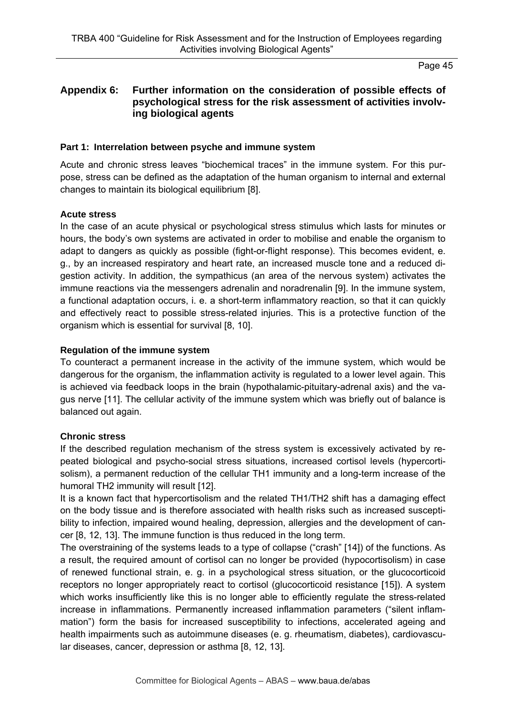## **Appendix 6: Further information on the consideration of possible effects of psychological stress for the risk assessment of activities involving biological agents**

#### **Part 1: Interrelation between psyche and immune system**

Acute and chronic stress leaves "biochemical traces" in the immune system. For this purpose, stress can be defined as the adaptation of the human organism to internal and external changes to maintain its biological equilibrium [8].

#### **Acute stress**

In the case of an acute physical or psychological stress stimulus which lasts for minutes or hours, the body's own systems are activated in order to mobilise and enable the organism to adapt to dangers as quickly as possible (fight-or-flight response). This becomes evident, e. g., by an increased respiratory and heart rate, an increased muscle tone and a reduced digestion activity. In addition, the sympathicus (an area of the nervous system) activates the immune reactions via the messengers adrenalin and noradrenalin [9]. In the immune system, a functional adaptation occurs, i. e. a short-term inflammatory reaction, so that it can quickly and effectively react to possible stress-related injuries. This is a protective function of the organism which is essential for survival [8, 10].

#### **Regulation of the immune system**

To counteract a permanent increase in the activity of the immune system, which would be dangerous for the organism, the inflammation activity is regulated to a lower level again. This is achieved via feedback loops in the brain (hypothalamic-pituitary-adrenal axis) and the vagus nerve [11]. The cellular activity of the immune system which was briefly out of balance is balanced out again.

### **Chronic stress**

If the described regulation mechanism of the stress system is excessively activated by repeated biological and psycho-social stress situations, increased cortisol levels (hypercortisolism), a permanent reduction of the cellular TH1 immunity and a long-term increase of the humoral TH2 immunity will result [12].

It is a known fact that hypercortisolism and the related TH1/TH2 shift has a damaging effect on the body tissue and is therefore associated with health risks such as increased susceptibility to infection, impaired wound healing, depression, allergies and the development of cancer [8, 12, 13]. The immune function is thus reduced in the long term.

The overstraining of the systems leads to a type of collapse ("crash" [14]) of the functions. As a result, the required amount of cortisol can no longer be provided (hypocortisolism) in case of renewed functional strain, e. g. in a psychological stress situation, or the glucocorticoid receptors no longer appropriately react to cortisol (glucocorticoid resistance [15]). A system which works insufficiently like this is no longer able to efficiently regulate the stress-related increase in inflammations. Permanently increased inflammation parameters ("silent inflammation") form the basis for increased susceptibility to infections, accelerated ageing and health impairments such as autoimmune diseases (e. g. rheumatism, diabetes), cardiovascular diseases, cancer, depression or asthma [8, 12, 13].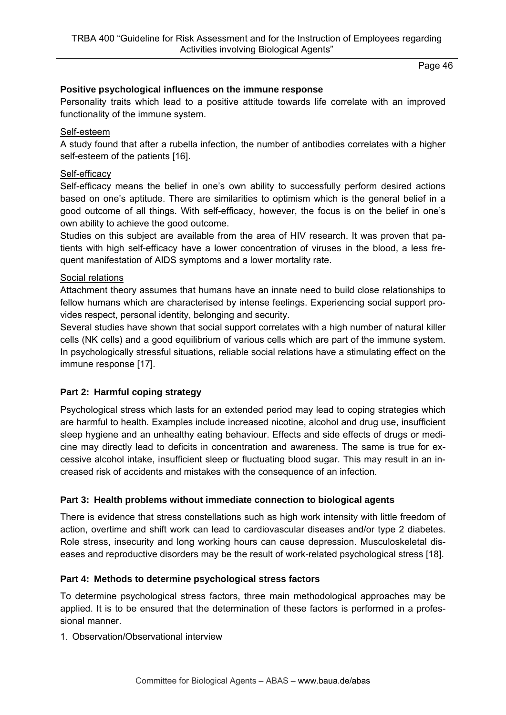# **Positive psychological influences on the immune response**

Personality traits which lead to a positive attitude towards life correlate with an improved functionality of the immune system.

# Self-esteem

A study found that after a rubella infection, the number of antibodies correlates with a higher self-esteem of the patients [16].

# Self-efficacy

Self-efficacy means the belief in one's own ability to successfully perform desired actions based on one's aptitude. There are similarities to optimism which is the general belief in a good outcome of all things. With self-efficacy, however, the focus is on the belief in one's own ability to achieve the good outcome.

Studies on this subject are available from the area of HIV research. It was proven that patients with high self-efficacy have a lower concentration of viruses in the blood, a less frequent manifestation of AIDS symptoms and a lower mortality rate.

### Social relations

Attachment theory assumes that humans have an innate need to build close relationships to fellow humans which are characterised by intense feelings. Experiencing social support provides respect, personal identity, belonging and security.

Several studies have shown that social support correlates with a high number of natural killer cells (NK cells) and a good equilibrium of various cells which are part of the immune system. In psychologically stressful situations, reliable social relations have a stimulating effect on the immune response [17].

### **Part 2: Harmful coping strategy**

Psychological stress which lasts for an extended period may lead to coping strategies which are harmful to health. Examples include increased nicotine, alcohol and drug use, insufficient sleep hygiene and an unhealthy eating behaviour. Effects and side effects of drugs or medicine may directly lead to deficits in concentration and awareness. The same is true for excessive alcohol intake, insufficient sleep or fluctuating blood sugar. This may result in an increased risk of accidents and mistakes with the consequence of an infection.

### **Part 3: Health problems without immediate connection to biological agents**

There is evidence that stress constellations such as high work intensity with little freedom of action, overtime and shift work can lead to cardiovascular diseases and/or type 2 diabetes. Role stress, insecurity and long working hours can cause depression. Musculoskeletal diseases and reproductive disorders may be the result of work-related psychological stress [18].

### **Part 4: Methods to determine psychological stress factors**

To determine psychological stress factors, three main methodological approaches may be applied. It is to be ensured that the determination of these factors is performed in a professional manner.

1. Observation/Observational interview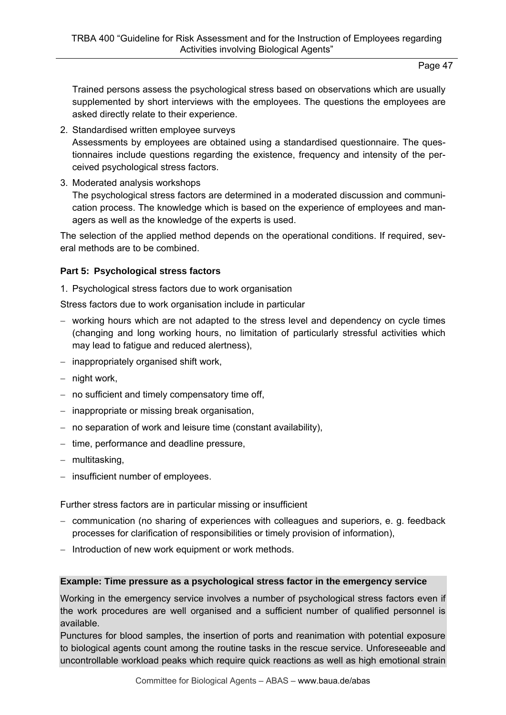Trained persons assess the psychological stress based on observations which are usually supplemented by short interviews with the employees. The questions the employees are asked directly relate to their experience.

2. Standardised written employee surveys

Assessments by employees are obtained using a standardised questionnaire. The questionnaires include questions regarding the existence, frequency and intensity of the perceived psychological stress factors.

3. Moderated analysis workshops

The psychological stress factors are determined in a moderated discussion and communication process. The knowledge which is based on the experience of employees and managers as well as the knowledge of the experts is used.

The selection of the applied method depends on the operational conditions. If required, several methods are to be combined.

# **Part 5: Psychological stress factors**

1. Psychological stress factors due to work organisation

Stress factors due to work organisation include in particular

- working hours which are not adapted to the stress level and dependency on cycle times (changing and long working hours, no limitation of particularly stressful activities which may lead to fatigue and reduced alertness),
- $-$  inappropriately organised shift work,
- $-$  night work,
- $-$  no sufficient and timely compensatory time off,
- inappropriate or missing break organisation,
- no separation of work and leisure time (constant availability),
- $-$  time, performance and deadline pressure,
- multitasking,
- $-$  insufficient number of employees.

Further stress factors are in particular missing or insufficient

- communication (no sharing of experiences with colleagues and superiors, e. g. feedback processes for clarification of responsibilities or timely provision of information),
- Introduction of new work equipment or work methods.

### **Example: Time pressure as a psychological stress factor in the emergency service**

Working in the emergency service involves a number of psychological stress factors even if the work procedures are well organised and a sufficient number of qualified personnel is available.

Punctures for blood samples, the insertion of ports and reanimation with potential exposure to biological agents count among the routine tasks in the rescue service. Unforeseeable and uncontrollable workload peaks which require quick reactions as well as high emotional strain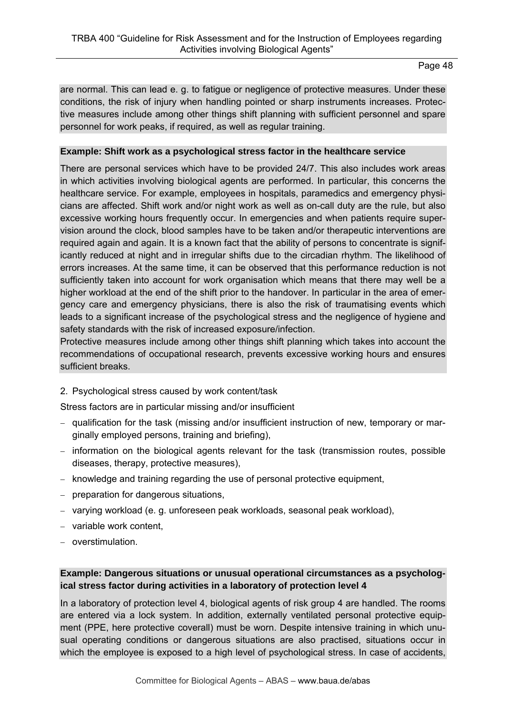are normal. This can lead e. g. to fatigue or negligence of protective measures. Under these conditions, the risk of injury when handling pointed or sharp instruments increases. Protective measures include among other things shift planning with sufficient personnel and spare personnel for work peaks, if required, as well as regular training.

## **Example: Shift work as a psychological stress factor in the healthcare service**

There are personal services which have to be provided 24/7. This also includes work areas in which activities involving biological agents are performed. In particular, this concerns the healthcare service. For example, employees in hospitals, paramedics and emergency physicians are affected. Shift work and/or night work as well as on-call duty are the rule, but also excessive working hours frequently occur. In emergencies and when patients require supervision around the clock, blood samples have to be taken and/or therapeutic interventions are required again and again. It is a known fact that the ability of persons to concentrate is significantly reduced at night and in irregular shifts due to the circadian rhythm. The likelihood of errors increases. At the same time, it can be observed that this performance reduction is not sufficiently taken into account for work organisation which means that there may well be a higher workload at the end of the shift prior to the handover. In particular in the area of emergency care and emergency physicians, there is also the risk of traumatising events which leads to a significant increase of the psychological stress and the negligence of hygiene and safety standards with the risk of increased exposure/infection.

Protective measures include among other things shift planning which takes into account the recommendations of occupational research, prevents excessive working hours and ensures sufficient breaks.

2. Psychological stress caused by work content/task

Stress factors are in particular missing and/or insufficient

- qualification for the task (missing and/or insufficient instruction of new, temporary or marginally employed persons, training and briefing),
- $-$  information on the biological agents relevant for the task (transmission routes, possible diseases, therapy, protective measures),
- $-$  knowledge and training regarding the use of personal protective equipment,
- preparation for dangerous situations,
- varying workload (e. g. unforeseen peak workloads, seasonal peak workload),
- variable work content,
- overstimulation.

## **Example: Dangerous situations or unusual operational circumstances as a psychological stress factor during activities in a laboratory of protection level 4**

In a laboratory of protection level 4, biological agents of risk group 4 are handled. The rooms are entered via a lock system. In addition, externally ventilated personal protective equipment (PPE, here protective coverall) must be worn. Despite intensive training in which unusual operating conditions or dangerous situations are also practised, situations occur in which the employee is exposed to a high level of psychological stress. In case of accidents,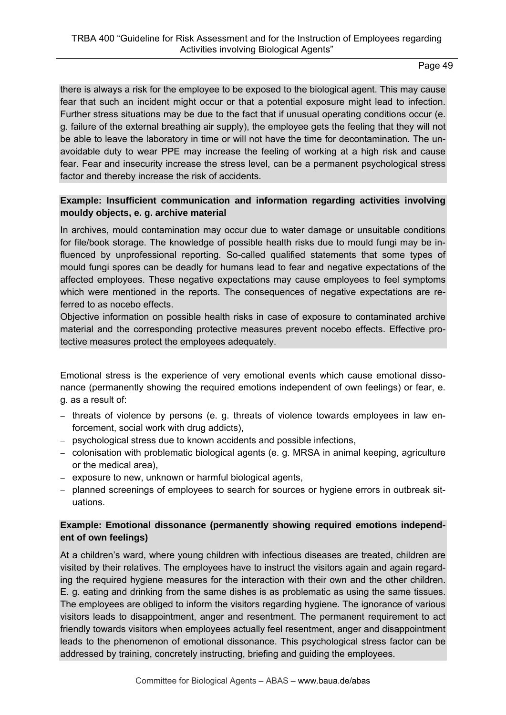there is always a risk for the employee to be exposed to the biological agent. This may cause fear that such an incident might occur or that a potential exposure might lead to infection. Further stress situations may be due to the fact that if unusual operating conditions occur (e. g. failure of the external breathing air supply), the employee gets the feeling that they will not be able to leave the laboratory in time or will not have the time for decontamination. The unavoidable duty to wear PPE may increase the feeling of working at a high risk and cause fear. Fear and insecurity increase the stress level, can be a permanent psychological stress factor and thereby increase the risk of accidents.

## **Example: Insufficient communication and information regarding activities involving mouldy objects, e. g. archive material**

In archives, mould contamination may occur due to water damage or unsuitable conditions for file/book storage. The knowledge of possible health risks due to mould fungi may be influenced by unprofessional reporting. So-called qualified statements that some types of mould fungi spores can be deadly for humans lead to fear and negative expectations of the affected employees. These negative expectations may cause employees to feel symptoms which were mentioned in the reports. The consequences of negative expectations are referred to as nocebo effects.

Objective information on possible health risks in case of exposure to contaminated archive material and the corresponding protective measures prevent nocebo effects. Effective protective measures protect the employees adequately.

Emotional stress is the experience of very emotional events which cause emotional dissonance (permanently showing the required emotions independent of own feelings) or fear, e. g. as a result of:

- $-$  threats of violence by persons (e. g. threats of violence towards employees in law enforcement, social work with drug addicts),
- psychological stress due to known accidents and possible infections,
- colonisation with problematic biological agents (e. g. MRSA in animal keeping, agriculture or the medical area),
- exposure to new, unknown or harmful biological agents,
- planned screenings of employees to search for sources or hygiene errors in outbreak situations.

# **Example: Emotional dissonance (permanently showing required emotions independent of own feelings)**

At a children's ward, where young children with infectious diseases are treated, children are visited by their relatives. The employees have to instruct the visitors again and again regarding the required hygiene measures for the interaction with their own and the other children. E. g. eating and drinking from the same dishes is as problematic as using the same tissues. The employees are obliged to inform the visitors regarding hygiene. The ignorance of various visitors leads to disappointment, anger and resentment. The permanent requirement to act friendly towards visitors when employees actually feel resentment, anger and disappointment leads to the phenomenon of emotional dissonance. This psychological stress factor can be addressed by training, concretely instructing, briefing and guiding the employees.